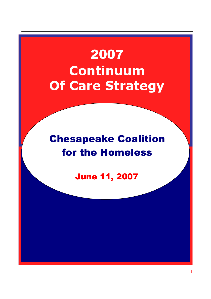# 2007 **Continuum Of Care Strategy**

# Chesapeake Coalition for the Homeless

June 11, 2007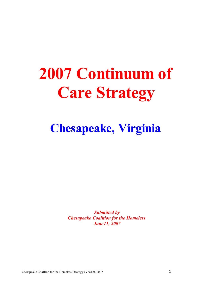# **2007 Continuum of Care Strategy**

# **Chesapeake, Virginia**

*Submitted by Chesapeake Coalition for the Homeless June11, 2007*

Chesapeake Coaltion for the Homeless Strategy (VA512), 2007 2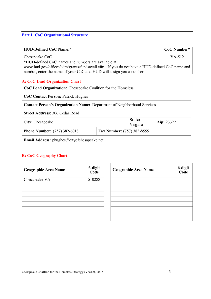# **Part I: CoC Organizational Structure**

| <b>HUD-Defined CoC Name:*</b>                                                                |                            |                    | CoC Number*        |  |  |  |  |  |  |  |  |
|----------------------------------------------------------------------------------------------|----------------------------|--------------------|--------------------|--|--|--|--|--|--|--|--|
| Chesapeake CoC                                                                               |                            |                    | VA-512             |  |  |  |  |  |  |  |  |
| *HUD-defined CoC names and numbers are available at:                                         |                            |                    |                    |  |  |  |  |  |  |  |  |
| www.hud.gov/offices/adm/grants/fundsavail.cfm. If you do not have a HUD-defined CoC name and |                            |                    |                    |  |  |  |  |  |  |  |  |
| number, enter the name of your CoC and HUD will assign you a number.                         |                            |                    |                    |  |  |  |  |  |  |  |  |
|                                                                                              |                            |                    |                    |  |  |  |  |  |  |  |  |
| <b>A: CoC Lead Organization Chart</b>                                                        |                            |                    |                    |  |  |  |  |  |  |  |  |
| CoC Lead Organization: Chesapeake Coalition for the Homeless                                 |                            |                    |                    |  |  |  |  |  |  |  |  |
| <b>CoC Contact Person: Patrick Hughes</b>                                                    |                            |                    |                    |  |  |  |  |  |  |  |  |
| <b>Contact Person's Organization Name: Department of Neighborhood Services</b>               |                            |                    |                    |  |  |  |  |  |  |  |  |
| <b>Street Address: 306 Cedar Road</b>                                                        |                            |                    |                    |  |  |  |  |  |  |  |  |
| City: Chesapeake                                                                             |                            | State:<br>Virginia | <b>Zip</b> : 23322 |  |  |  |  |  |  |  |  |
| <b>Phone Number:</b> (757) 382-6018                                                          | Fax Number: (757) 382-8555 |                    |                    |  |  |  |  |  |  |  |  |
| <b>Email Address:</b> phughes@cityofchesapeake.net                                           |                            |                    |                    |  |  |  |  |  |  |  |  |

# **B: CoC Geography Chart**

| <b>Geographic Area Name</b> | 6-digit<br>Code | <b>Geographic Area Name</b> | 6-digit<br>Code |
|-----------------------------|-----------------|-----------------------------|-----------------|
| Chesapeake VA               | 510288          |                             |                 |
|                             |                 |                             |                 |
|                             |                 |                             |                 |
|                             |                 |                             |                 |
|                             |                 |                             |                 |
|                             |                 |                             |                 |
|                             |                 |                             |                 |
|                             |                 |                             |                 |
|                             |                 |                             |                 |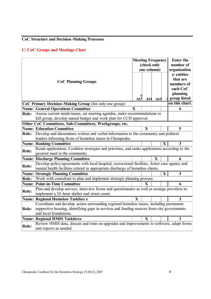# **CoC Structure and Decision-Making Processes**

## **C: CoC Groups and Meetings Chart**

|              | <b>CoC Planning Groups</b>                                                                                                                                                                                      | Atl         | (check only<br>At | <b>Meeting Frequency</b><br>one column)<br>At l |              | <b>Enter the</b><br>number of<br>organization<br>s/ entities<br>that are<br>members of<br>each CoC<br>planning<br>group listed |  |  |  |  |  |
|--------------|-----------------------------------------------------------------------------------------------------------------------------------------------------------------------------------------------------------------|-------------|-------------------|-------------------------------------------------|--------------|--------------------------------------------------------------------------------------------------------------------------------|--|--|--|--|--|
|              | CoC Primary Decision-Making Group (list only one group)                                                                                                                                                         |             |                   |                                                 |              | on this chart.                                                                                                                 |  |  |  |  |  |
|              | <b>Name: General Operations Committee</b>                                                                                                                                                                       | $\mathbf X$ |                   |                                                 |              | 6                                                                                                                              |  |  |  |  |  |
| Role:        | Assess current needs/issues, set meeting agendas, make recommendations to                                                                                                                                       |             |                   |                                                 |              |                                                                                                                                |  |  |  |  |  |
|              | full group, develop annual budget and work plan for CCH approval.                                                                                                                                               |             |                   |                                                 |              |                                                                                                                                |  |  |  |  |  |
|              | Other CoC Committees, Sub-Committees, Workgroups, etc.                                                                                                                                                          |             |                   |                                                 |              |                                                                                                                                |  |  |  |  |  |
|              | <b>Name: Education Committee</b>                                                                                                                                                                                |             | $\mathbf{X}$      |                                                 |              | 5                                                                                                                              |  |  |  |  |  |
| Role:        | Develop and disseminate written and verbal information to the community and political<br>leaders informing them of homeless issues in Chesapeake.                                                               |             |                   |                                                 |              |                                                                                                                                |  |  |  |  |  |
| Name:        | <b>Ranking Committee</b>                                                                                                                                                                                        |             |                   |                                                 | X            | 3                                                                                                                              |  |  |  |  |  |
| Role:        | Reads applications, Coalition strategies and priorities, and ranks applications according to the<br>greatest need in the community                                                                              |             |                   |                                                 |              |                                                                                                                                |  |  |  |  |  |
| Name:        | <b>Discharge Planning Committee</b>                                                                                                                                                                             |             |                   | $\mathbf{X}$                                    |              | 6                                                                                                                              |  |  |  |  |  |
| Role:        | Develop policy/agreements with local hospital, correctional facilities, foster care agency and<br>mental health facilities related to appropriate discharge of homeless clients.                                |             |                   |                                                 |              |                                                                                                                                |  |  |  |  |  |
|              | <b>Name: Strategic Planning Committee</b>                                                                                                                                                                       |             |                   |                                                 | $\mathbf{X}$ | $\overline{3}$                                                                                                                 |  |  |  |  |  |
| Role:        | Work with consultant to plan and implement strategic planning process.                                                                                                                                          |             |                   |                                                 |              |                                                                                                                                |  |  |  |  |  |
| Name:        | <b>Point-in-Time Committee</b>                                                                                                                                                                                  |             | $\mathbf{X}$      |                                                 |              | 6                                                                                                                              |  |  |  |  |  |
| Role:        | Plan and develop surveys, interview forms and questionnaire as well as arrange providers to<br>implement a 24-hour shelter and street count.                                                                    |             |                   |                                                 |              |                                                                                                                                |  |  |  |  |  |
| Name:        | <b>Regional Homeless Taskforce</b>                                                                                                                                                                              | X           |                   |                                                 |              | $\overline{\mathbf{3}}$                                                                                                        |  |  |  |  |  |
| Role:        | Coordinate and develop action surrounding regional homeless issues, including permanent<br>supportive housing, identifying gaps in services and funding sources from city governments<br>and local foundations. |             |                   |                                                 |              |                                                                                                                                |  |  |  |  |  |
| Name:        | <b>Regional HMIS Taskforce</b>                                                                                                                                                                                  |             | $\mathbf{X}$      |                                                 |              | 3                                                                                                                              |  |  |  |  |  |
| <b>Role:</b> | Review HMIS data, discuss and train on upgrades and improvements to software, adapt forms<br>and reports as needed.                                                                                             |             |                   |                                                 |              |                                                                                                                                |  |  |  |  |  |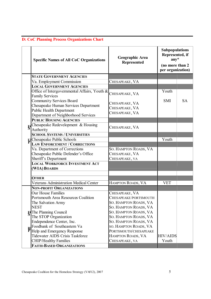# **D: CoC Planning Process Organizations Chart**

|                                    | <b>Specific Names of All CoC Organizations</b>                                                                                             | Geographic Area<br><b>Represented</b>              | <b>Subpopulations</b><br>Represented, if<br>$any^*$<br>(no more than 2)<br>per organization) |           |
|------------------------------------|--------------------------------------------------------------------------------------------------------------------------------------------|----------------------------------------------------|----------------------------------------------------------------------------------------------|-----------|
|                                    | <b>STATE GOVERNMENT AGENCIES</b>                                                                                                           |                                                    |                                                                                              |           |
|                                    | Va. Employment Commission                                                                                                                  | CHESAPEAKE, VA                                     |                                                                                              |           |
|                                    | <b>LOCAL GOVERNMENT AGENCIES</b>                                                                                                           |                                                    |                                                                                              |           |
|                                    | Office of Intergovernmental Affairs, Youth &<br><b>Family Services</b>                                                                     | CHESAPEAKE, VA                                     | Youth                                                                                        |           |
|                                    | Community Services Board<br>Chesapeake Human Services Department<br><b>Public Health Department</b><br>Department of Neighborhood Services | CHESAPEAKE, VA<br>CHESAPEAKE, VA<br>CHESAPEAKE, VA | <b>SMI</b>                                                                                   | <b>SA</b> |
|                                    | <b>PUBLIC HOUSING AGENCIES</b>                                                                                                             |                                                    |                                                                                              |           |
| $\mathbf{g}$                       | Chesapeake Redevelopment & Housing<br>Authority                                                                                            | CHESAPEAKE, VA                                     |                                                                                              |           |
|                                    | <b>SCHOOL SYSTEMS / UNIVERSITIES</b>                                                                                                       |                                                    |                                                                                              |           |
| <b>H</b> Chesapeake Public Schools |                                                                                                                                            |                                                    | Youth                                                                                        |           |
|                                    | <b>LAW ENFORCEMENT / CORRECTIONS</b>                                                                                                       |                                                    |                                                                                              |           |
|                                    | Va. Department of Corrections<br>Chesapeake Public Defender's Office                                                                       | SO. HAMPTON ROADS, VA<br>CHESAPEAKE, VA            |                                                                                              |           |
|                                    | Sheriff's Department                                                                                                                       | CHESAPEAKE, VA                                     |                                                                                              |           |
|                                    | <b>LOCAL WORKFORCE INVESTMENT ACT</b><br>(WIA) BOARDS                                                                                      |                                                    |                                                                                              |           |
|                                    | <b>OTHER</b>                                                                                                                               |                                                    |                                                                                              |           |
|                                    | <b>Veterans Administration Medical Center</b>                                                                                              | HAMPTON ROADS, VA                                  | <b>VET</b>                                                                                   |           |
|                                    | <b>NON-PROFIT ORGANIZATIONS</b>                                                                                                            |                                                    |                                                                                              |           |
|                                    | <b>Our House Families</b>                                                                                                                  | CHESAPEAKE, VA                                     |                                                                                              |           |
|                                    | Portsmouth Area Resources Coalition                                                                                                        | CHESAPEAKE/PORTSMOUTH                              |                                                                                              |           |
|                                    | The Salvation Army                                                                                                                         | SO. HAMPTON ROADS, VA                              |                                                                                              |           |
|                                    | <b>NEST</b>                                                                                                                                | SO. HAMPTON ROADS, VA                              |                                                                                              |           |
|                                    | <b>EdThe Planning Council</b>                                                                                                              | SO. HAMPTON ROADS, VA                              |                                                                                              |           |
|                                    | The STOP Organization                                                                                                                      | SO. HAMPTON ROADS, VA                              |                                                                                              |           |
|                                    | Endependence Center, Inc.                                                                                                                  | SO. HAMPTON ROADS, VA                              |                                                                                              |           |
|                                    | Foodbank of Southeastern Va                                                                                                                | SO. HAMPTON ROADS, VA                              |                                                                                              |           |
|                                    | Help and Emergency Response                                                                                                                | PORTSMOUTH/CHESAPEAKE                              |                                                                                              |           |
|                                    | <b>Tidewater AIDS Crisis Taskforce</b>                                                                                                     | HAMPTON ROADS, VA                                  | <b>HIV/AIDS</b>                                                                              |           |
|                                    | <b>CHIP/Healthy Families</b>                                                                                                               | CHESAPEAKE, VA                                     | Youth                                                                                        |           |
|                                    | <b>FAITH-BASED ORGANIZATIONS</b>                                                                                                           |                                                    |                                                                                              |           |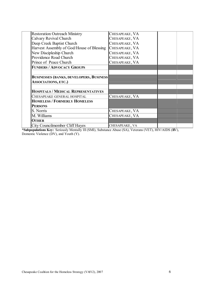| <b>Restoration Outreach Ministry</b>            | CHESAPEAKE, VA |  |
|-------------------------------------------------|----------------|--|
| Calvary Revival Church                          | CHESAPEAKE, VA |  |
| Deep Creek Baptist Church                       | CHESAPEAKE, VA |  |
| Harvest Assembly of God/House of Blessing       | CHESAPEAKE, VA |  |
| New Discipleship Church                         | CHESAPEAKE, VA |  |
| Providence Road Church                          | CHESAPEAKE, VA |  |
| Prince of Peace Church                          | CHESAPEAKE, VA |  |
| <b>FUNDERS / ADVOCACY GROUPS</b>                |                |  |
|                                                 |                |  |
|                                                 |                |  |
| <b>BUSINESSES (BANKS, DEVELOPERS, BUSINESS)</b> |                |  |
| <b>ASSOCIATIONS, ETC.)</b>                      |                |  |
|                                                 |                |  |
| <b>HOSPITALS / MEDICAL REPRESENTATIVES</b>      |                |  |
| CHESAPEAKE GENERAL HOSPITAL                     | CHESAPEAKE, VA |  |
| <b>HOMELESS / FORMERLY HOMELESS</b>             |                |  |
| <b>PERSONS</b>                                  |                |  |
| S. Norris                                       | CHESAPEAKE, VA |  |
| M. Williams                                     | CHESAPEAKE, VA |  |
| OTHER                                           |                |  |
| <b>City Councilmember Cliff Hayes</b>           | CHESAPEAKE, VA |  |

**\*Subpopulations Key:** Seriously Mentally Ill (SMI), Substance Abuse (SA), Veterans (VET), HIV/AIDS (HIV), Domestic Violence (DV), and Youth (Y).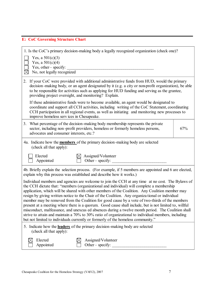# **E: CoC Governing Structure Chart**

| 1. Is the CoC's primary decision-making body a legally recognized organization (check one)?                                                                                                                                                                                                                                                                                                                                                                                                                                                                                                                                                                                                                                                                                                                                                                                                                       |  |  |  |  |  |  |  |  |  |  |  |
|-------------------------------------------------------------------------------------------------------------------------------------------------------------------------------------------------------------------------------------------------------------------------------------------------------------------------------------------------------------------------------------------------------------------------------------------------------------------------------------------------------------------------------------------------------------------------------------------------------------------------------------------------------------------------------------------------------------------------------------------------------------------------------------------------------------------------------------------------------------------------------------------------------------------|--|--|--|--|--|--|--|--|--|--|--|
| Yes, a $501(c)(3)$                                                                                                                                                                                                                                                                                                                                                                                                                                                                                                                                                                                                                                                                                                                                                                                                                                                                                                |  |  |  |  |  |  |  |  |  |  |  |
| Yes, a $501(c)(4)$<br>Yes, other-specify:                                                                                                                                                                                                                                                                                                                                                                                                                                                                                                                                                                                                                                                                                                                                                                                                                                                                         |  |  |  |  |  |  |  |  |  |  |  |
| No, not legally recognized<br>$\times$                                                                                                                                                                                                                                                                                                                                                                                                                                                                                                                                                                                                                                                                                                                                                                                                                                                                            |  |  |  |  |  |  |  |  |  |  |  |
| If your CoC were provided with additional administrative funds from HUD, would the primary<br>2.<br>decision-making body, or an agent designated by it (e.g. a city or non-profit organization), be able<br>to be responsible for activities such as applying for HUD funding and serving as the grantee,<br>providing project oversight, and monitoring? Explain.                                                                                                                                                                                                                                                                                                                                                                                                                                                                                                                                                |  |  |  |  |  |  |  |  |  |  |  |
| If these administrative funds were to become available, an agent would be designated to<br>coordinate and support all CCH activities, including writing of the CoC Statement, coordinating<br>CCH participation in all regional events, as well as initiating and monitoring new processes to<br>improve homeless services in Chesapeake.                                                                                                                                                                                                                                                                                                                                                                                                                                                                                                                                                                         |  |  |  |  |  |  |  |  |  |  |  |
| What percentage of the decision-making body membership represents the private<br>3.<br>sector, including non-profit providers, homeless or formerly homeless persons,<br>67%<br>advocates and consumer interests, etc.?                                                                                                                                                                                                                                                                                                                                                                                                                                                                                                                                                                                                                                                                                           |  |  |  |  |  |  |  |  |  |  |  |
| 4a. Indicate how the <b>members</b> of the primary decision-making body are selected<br>(check all that apply):                                                                                                                                                                                                                                                                                                                                                                                                                                                                                                                                                                                                                                                                                                                                                                                                   |  |  |  |  |  |  |  |  |  |  |  |
| Assigned/Volunteer<br>Elected<br>Other-specify:<br>Appointed                                                                                                                                                                                                                                                                                                                                                                                                                                                                                                                                                                                                                                                                                                                                                                                                                                                      |  |  |  |  |  |  |  |  |  |  |  |
| 4b. Briefly explain the selection process. (For example, if 5 members are appointed and 6 are elected,<br>explain why this process was established and describe how it works.)                                                                                                                                                                                                                                                                                                                                                                                                                                                                                                                                                                                                                                                                                                                                    |  |  |  |  |  |  |  |  |  |  |  |
| Individual members and agencies are welcome to join the CCH at any time at no cost. The Bylaws of<br>the CCH dictate that: "members (organizational and individual) will complete a membership<br>application, which will be shared with other members of the Coalition. Any Coalition member may<br>resign by giving written notice to the Chair of the Coalition. Any organizational or individual<br>member may be removed from the Coalition for good cause by a vote of two-thirds of the members<br>present at a meeting where there is a quorum. Good cause shall include, but is not limited to, willful<br>misconduct, malfeasance, and unexcus ed absences during a twelve month period. The Coalition shall<br>strive to attain and maintain a 70% to 30% ratio of organizational to individual members, including<br>but not limited to individuals currently or formerly of the homeless community." |  |  |  |  |  |  |  |  |  |  |  |
| 5. Indicate how the <b>leaders</b> of the primary decision-making body are selected<br>(check all that apply):                                                                                                                                                                                                                                                                                                                                                                                                                                                                                                                                                                                                                                                                                                                                                                                                    |  |  |  |  |  |  |  |  |  |  |  |
| Elected<br>Assigned/Volunteer<br>Other-specify:<br>Appointed                                                                                                                                                                                                                                                                                                                                                                                                                                                                                                                                                                                                                                                                                                                                                                                                                                                      |  |  |  |  |  |  |  |  |  |  |  |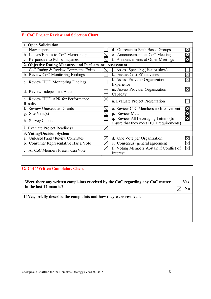# **F: CoC Project Review and Selection Chart**

| 1. Open Solicitation                                    |             |                                          |  |
|---------------------------------------------------------|-------------|------------------------------------------|--|
| a. Newspapers                                           |             | d. Outreach to Faith-Based Groups        |  |
| b. Letters/Emails to CoC Membership                     |             | e. Announcements at CoC Meetings         |  |
| c. Responsive to Public Inquiries                       |             | f. Announcements at Other Meetings       |  |
| 2. Objective Rating Measures and Performance Assessment |             |                                          |  |
| CoC Rating & Review Committee Exists                    |             | Assess Spending (fast or slow)           |  |
| b. Review CoC Monitoring Findings                       |             | <b>Assess Cost Effectiveness</b><br>k    |  |
|                                                         |             | 1. Assess Provider Organization          |  |
| c. Review HUD Monitoring Findings                       |             | Experience                               |  |
| d. Review Independent Audit                             |             | m. Assess Provider Organization          |  |
|                                                         |             | Capacity                                 |  |
| e. Review HUD APR for Performance                       | $\boxtimes$ | n. Evaluate Project Presentation         |  |
| Results                                                 |             |                                          |  |
| f. Review Unexecuted Grants                             |             | o. Review CoC Membership Involvement     |  |
| g. Site $Visit(s)$                                      |             | p. Review Match                          |  |
| h. Survey Clients                                       |             | q. Review All Leveraging Letters (to     |  |
|                                                         |             | ensure that they meet HUD requirements)  |  |
| i. Evaluate Project Readiness                           |             |                                          |  |
| 3. Voting/Decision System                               |             |                                          |  |
| <b>Unbiased Panel / Review Committee</b><br>a.          |             | One Vote per Organization<br>d.          |  |
| b. Consumer Representative Has a Vote                   |             | Consensus (general agreement)<br>e.      |  |
|                                                         |             | f. Voting Members Abstain if Conflict of |  |
| c. All CoC Members Present Can Vote                     |             | Interest                                 |  |

# **G: CoC Written Complaints Chart**

| Were there any written complaints received by the CoC regarding any CoC matter<br>in the last 12 months? | Yes |
|----------------------------------------------------------------------------------------------------------|-----|
| If Yes, briefly describe the complaints and how they were resolved.                                      |     |
|                                                                                                          |     |
|                                                                                                          |     |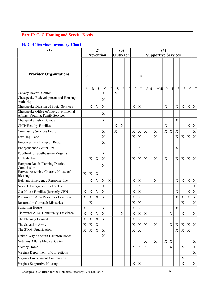# **Part II: CoC Housing and Service Needs**

#### **H: CoC Services Inventory Chart**

| (1)                                                                                 |                           | (2)<br><b>Prevention</b>  |                           |                           |   | (3)<br>Outreach |                |  | (4)<br><b>Supportive Services</b> |                           |                           |                           |                |             |                           |                           |                           |                           |
|-------------------------------------------------------------------------------------|---------------------------|---------------------------|---------------------------|---------------------------|---|-----------------|----------------|--|-----------------------------------|---------------------------|---------------------------|---------------------------|----------------|-------------|---------------------------|---------------------------|---------------------------|---------------------------|
|                                                                                     |                           |                           |                           |                           |   |                 |                |  |                                   |                           |                           |                           |                |             |                           |                           |                           |                           |
| <b>Provider Organizations</b>                                                       |                           |                           |                           |                           |   |                 |                |  |                                   | S                         |                           |                           |                |             |                           |                           |                           |                           |
|                                                                                     | N                         | R                         | $\mathbf I$               | C                         |   | $\mathbf S$     | Ν              |  | C                                 |                           | Alce                      | MeG                       |                | F           |                           |                           | C                         |                           |
| Calvary Revival Church                                                              |                           |                           |                           | X                         |   | X               |                |  |                                   |                           |                           |                           |                |             |                           |                           |                           |                           |
| Chesapeake Redevelopment and Housing<br>Authority                                   |                           |                           |                           | $\boldsymbol{\mathrm{X}}$ |   |                 |                |  |                                   |                           |                           |                           |                |             |                           |                           |                           |                           |
| Chesapeake Division of Social Services                                              |                           | X                         | $\boldsymbol{\mathrm{X}}$ | $\overline{X}$            |   |                 |                |  | $\boldsymbol{\mathrm{X}}$         | X                         |                           |                           | X              |             | $\overline{X}$            | X                         | $\boldsymbol{\mathrm{X}}$ | X                         |
| Chesapeake Office of Intergovernmental<br>Affairs, Youth & Family Services          |                           |                           |                           | X                         |   |                 |                |  |                                   |                           |                           |                           |                |             |                           |                           |                           |                           |
| Chesapeake Public Schools                                                           |                           |                           |                           | X                         |   |                 |                |  |                                   |                           |                           |                           |                |             | X                         |                           |                           |                           |
| <b>CHIP/Healthy Families</b>                                                        |                           |                           |                           |                           |   | X               | $\overline{X}$ |  |                                   |                           |                           |                           | $\overline{X}$ |             |                           |                           | $\boldsymbol{\mathrm{X}}$ | X                         |
| Community Services Board                                                            |                           |                           |                           | $\boldsymbol{\mathrm{X}}$ |   | X               |                |  | $\mathbf X$                       | X                         | $\mathbf X$               | X                         | $\mathbf X$    | $\mathbf X$ | X                         |                           |                           | X                         |
| <b>Dwelling Place</b>                                                               |                           |                           |                           | $\overline{X}$            |   |                 |                |  | $\boldsymbol{\mathrm{X}}$         | X                         |                           | $\mathbf X$               |                |             | X                         | $\mathbf X$               | $\boldsymbol{\mathrm{X}}$ | X                         |
| <b>Empowerment Hampton Roads</b>                                                    |                           |                           |                           | $\boldsymbol{\mathrm{X}}$ |   |                 |                |  |                                   |                           |                           |                           |                |             |                           |                           |                           |                           |
| Endependence Center, Inc.                                                           |                           |                           |                           |                           |   |                 |                |  |                                   | X                         |                           |                           |                |             | X                         |                           |                           |                           |
| Foodbank of Southeastern Virginia                                                   |                           |                           |                           | $\overline{X}$            |   |                 |                |  |                                   | X                         |                           |                           |                |             |                           |                           |                           |                           |
| ForKids, Inc.                                                                       |                           | X                         | X                         | $\mathbf X$               |   |                 |                |  | X                                 | X                         | $\boldsymbol{\mathrm{X}}$ | $\mathbf X$               | X              |             | $\boldsymbol{\mathrm{X}}$ | X                         | $\mathbf X$               | X                         |
| Hampton Roads Planning District<br>Commission<br>Harvest Assembly Church / House of | $\mathbf X$               | X                         | X                         | $\mathbf X$               |   |                 |                |  |                                   |                           |                           |                           |                |             |                           |                           |                           |                           |
| Blessing                                                                            |                           |                           |                           |                           |   |                 |                |  |                                   |                           |                           |                           |                |             |                           |                           |                           |                           |
| Help and Emergency Response, Inc.                                                   |                           | X                         | $\boldsymbol{\mathrm{X}}$ | $\mathbf X$               | X |                 |                |  | X                                 | X                         |                           | $\boldsymbol{\mathrm{X}}$ |                |             | X                         | X                         | $\boldsymbol{\mathrm{X}}$ | X                         |
| Norfolk Emergency Shelter Team                                                      |                           |                           |                           | $\mathbf X$               |   |                 |                |  |                                   | X                         |                           |                           |                |             |                           |                           |                           | X                         |
| Our House Families (formerly CRN)                                                   | $\boldsymbol{\mathrm{X}}$ | X                         | X                         | $\boldsymbol{\mathrm{X}}$ |   |                 |                |  | $\mathbf X$                       | X                         |                           |                           |                |             | X                         |                           | X                         | X                         |
| Portsmouth Area Resources Coalition                                                 | $\mathbf X$               | X                         | $\mathbf X$               | $\mathbf X$               |   |                 |                |  | X                                 | X                         |                           |                           |                |             | X                         | $\boldsymbol{\mathrm{X}}$ | $\boldsymbol{\mathrm{X}}$ | X                         |
| <b>Restoration Outreach Ministries</b>                                              |                           | X                         |                           |                           |   |                 |                |  | X                                 | X                         |                           |                           |                |             |                           | X                         |                           | X                         |
| Samaritan House                                                                     | X                         |                           |                           | $\mathbf X$               |   |                 |                |  | X                                 | $\boldsymbol{\mathrm{X}}$ |                           |                           |                |             | $\mathbf X$               |                           |                           |                           |
| <b>Tidewater AIDS Community Taskforce</b>                                           | X                         | $\mathbf X$               | X                         | $\mathbf X$               |   |                 | $\mathbf X$    |  | $\mathbf X$                       | $\mathbf X$               | $\mathbf X$               |                           |                | $\mathbf X$ |                           | X                         |                           | X                         |
| The Planning Council                                                                | X                         | $\boldsymbol{\mathrm{X}}$ | $\mathbf X$               | $\mathbf X$               |   |                 |                |  | $\mathbf X$                       | X                         |                           |                           |                |             |                           |                           |                           |                           |
| The Salvation Army                                                                  | $\overline{X}$            | $\mathbf X$               | $\mathbf X$               |                           |   |                 |                |  | $\mathbf X$                       | $\mathbf X$               | $\mathbf X$               | $\mathbf X$               |                | $\mathbf X$ | $\mathbf X$               | $\mathbf X$               | $\mathbf X$               | X                         |
| The STOP Organization                                                               | $\boldsymbol{\mathrm{X}}$ | X                         | $\mathbf X$               | $\mathbf X$               |   |                 |                |  | $\boldsymbol{\mathrm{X}}$         | $\mathbf X$               |                           |                           |                |             | $\boldsymbol{\mathrm{X}}$ | $\boldsymbol{\mathrm{X}}$ | X                         |                           |
| United Way of South Hampton Roads                                                   |                           |                           |                           | $\mathbf X$               |   |                 |                |  |                                   |                           |                           |                           |                |             |                           |                           |                           |                           |
| Veterans Affairs Medical Center                                                     |                           |                           |                           |                           |   |                 |                |  |                                   |                           | $\boldsymbol{X}$          | $\mathbf X$               | $\mathbf X$    | $\mathbf X$ |                           |                           |                           | X                         |
| Victory Home                                                                        |                           |                           |                           |                           |   |                 |                |  | $\mathbf X$                       | $\boldsymbol{\mathrm{X}}$ | $\boldsymbol{\mathrm{X}}$ |                           |                | $\mathbf X$ |                           | $\mathbf X$               |                           | X                         |
| Virginia Department of Corrections                                                  |                           |                           |                           |                           |   |                 |                |  |                                   |                           |                           |                           |                |             |                           |                           |                           | $\boldsymbol{\mathrm{X}}$ |
| Virginia Employment Commission                                                      |                           |                           |                           |                           |   |                 |                |  |                                   |                           |                           |                           |                |             |                           | $\boldsymbol{\mathrm{X}}$ |                           |                           |
| Virginia Supportive Housing                                                         |                           |                           |                           |                           |   |                 |                |  | $\boldsymbol{\mathrm{X}}$         | $\boldsymbol{\mathrm{X}}$ |                           |                           |                |             |                           | $\mathbf X$               |                           | $\mathbf X$               |

Chesapeake Coalition for the Homeless Strategy (VA512), 2007 9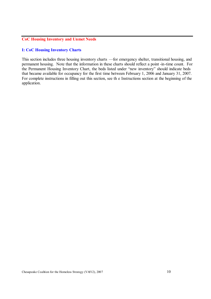#### **CoC Housing Inventory and Unmet Needs**

#### **I: CoC Housing Inventory Charts**

This section includes three housing inventory charts —for emergency shelter, transitional housing, and permanent housing. Note that the information in these charts should reflect a point -in-time count. For the Permanent Housing Inventory Chart, the beds listed under "new inventory" should indicate beds that became available for occupancy for the first time between February 1, 2006 and January 31, 2007. For complete instructions in filling out this section, see th e Instructions section at the beginning of the application.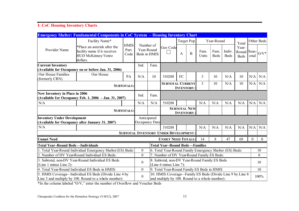## **I: CoC Housing Inventory Charts**

|                                                                                                 | <b>Emergency Shelter: Fundamental Components in CoC System – Housing Inventory Chart</b>                       |                              |                                         |                                                                         |                                                                                                             |                   |              |                |                     |                       |                               |          |                                                         |
|-------------------------------------------------------------------------------------------------|----------------------------------------------------------------------------------------------------------------|------------------------------|-----------------------------------------|-------------------------------------------------------------------------|-------------------------------------------------------------------------------------------------------------|-------------------|--------------|----------------|---------------------|-----------------------|-------------------------------|----------|---------------------------------------------------------|
|                                                                                                 | Facility Name*                                                                                                 |                              |                                         |                                                                         |                                                                                                             | Target Pop        |              |                | Year-Round          |                       | Total                         |          | Other Beds                                              |
| Provider Name                                                                                   | *Place an asterisk after the<br>facility name if it receives<br><b>HUD McKinney-Vento</b><br>dollars.          | <b>HMIS</b><br>Part.<br>Code | Number of<br>Year-Round<br>Beds in HMIS |                                                                         | Geo Code                                                                                                    | A                 | $\mathbf{B}$ | Fam.<br>Units  | Fam.<br><b>Beds</b> | Indiv.<br><b>Beds</b> | Year-<br>Round<br><b>Beds</b> | onal     | $\text{S}\text{e}$ as- $\big _{\text{O}/\text{V}}\big $ |
| <b>Current Inventory</b><br>(Available for Occupancy on or before Jan. 31, 2006)                |                                                                                                                |                              | Ind.                                    | Fam.                                                                    |                                                                                                             |                   |              |                |                     |                       |                               |          |                                                         |
| <b>Our House Families</b><br>(formerly CRN)                                                     | Our House                                                                                                      | PA                           | N/A                                     | 10                                                                      | 510288                                                                                                      | FC                |              | 3              | 10                  | N/A                   | 10                            | N/A      | N/A                                                     |
| <b>SUBTOTALS:</b>                                                                               |                                                                                                                |                              |                                         |                                                                         | <b>SUBTOTAL CURRENT</b>                                                                                     | <b>INVENTORY:</b> |              | $\overline{3}$ | 10                  | N/A                   | 10                            | N/A      | N/A                                                     |
| <b>New Inventory in Place in 2006</b><br>(Available for Occupancy Feb. 1, 2006 - Jan. 31, 2007) |                                                                                                                |                              | Ind.                                    | Fam.                                                                    |                                                                                                             |                   |              |                |                     |                       |                               |          |                                                         |
| N/A                                                                                             |                                                                                                                |                              | N/A                                     | N/A                                                                     | 510288                                                                                                      |                   |              | N/A            | N/A                 | N/A                   | N/A                           | N/A      | N/A                                                     |
|                                                                                                 |                                                                                                                | <b>SUBTOTALS:</b>            |                                         |                                                                         | <b>SUBTOTAL NEW</b><br><b>INVENTORY:</b>                                                                    |                   |              |                |                     |                       |                               |          |                                                         |
| <b>Inventory Under Development</b>                                                              | (Available for Occupancy after January 31, 2007)                                                               |                              |                                         | Anticipated<br><b>Occupancy Date</b>                                    |                                                                                                             |                   |              |                |                     |                       |                               |          |                                                         |
| N/A                                                                                             |                                                                                                                |                              |                                         |                                                                         | 510288                                                                                                      |                   |              | N/A            | N/A                 | N/A                   | N/A                           | N/A      | N/A                                                     |
|                                                                                                 |                                                                                                                |                              |                                         |                                                                         | <b>SUBTOTAL INVENTORY UNDER DEVELOPMENT</b>                                                                 |                   |              |                |                     |                       |                               |          |                                                         |
| <b>Unmet Need</b>                                                                               |                                                                                                                |                              |                                         |                                                                         | <b>UNMET NEED TOTALS:</b>                                                                                   |                   |              | 14             | 8                   | 47                    | 69                            | $\theta$ | $\Omega$                                                |
| <b>Total Year-Round Beds—Individuals</b>                                                        |                                                                                                                |                              |                                         |                                                                         | <b>Total Year-Round Beds—Families</b>                                                                       |                   |              |                |                     |                       |                               |          |                                                         |
|                                                                                                 | . Total Year-Round Individual Emergency Shelter (ES) Beds:                                                     |                              | $\boldsymbol{0}$                        |                                                                         | 6. Total Year-Round Family Emergency Shelter (ES) Beds:                                                     |                   |              |                |                     |                       |                               |          | 10                                                      |
|                                                                                                 | 2. Number of DV Year-Round Individual ES Beds:                                                                 |                              | $\overline{0}$                          |                                                                         | 7. Number of DV Year-Round Family ES Beds:                                                                  |                   |              |                |                     |                       |                               |          | $\overline{0}$                                          |
| 3. Subtotal, non-DV Year-Round Individual ES Beds<br>(Line 1 minus Line 2):                     |                                                                                                                |                              | $\boldsymbol{0}$                        | 8. Subtotal, non-DV Year-Round Family ES Beds<br>(Line 6 minus Line 7): |                                                                                                             |                   |              |                |                     |                       |                               |          | 10                                                      |
|                                                                                                 | 4. Total Year-Round Individual ES Beds in HMIS:                                                                |                              | $\overline{0}$                          |                                                                         | 9. Total Year-Round Family ES Beds in HMIS                                                                  |                   |              |                |                     |                       |                               |          | 10                                                      |
|                                                                                                 | 5. HMIS Coverage—Individual ES Beds (Divide Line 4 by<br>Line 3 and multiply by 100. Round to a whole number): |                              | $\boldsymbol{0}$                        |                                                                         | 10. HMIS Coverage-Family ES Beds (Divide Line 9 by Line 8<br>and multiply by 100. Round to a whole number): |                   |              |                |                     |                       |                               |          | 100%                                                    |

\*In the column labeled "O/V," enter the number of Overflow and Voucher Beds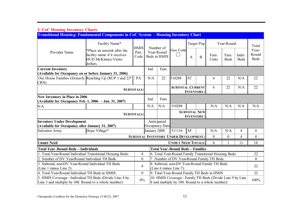| <b>1: CoC Housing Inventory Charts</b>                                                                         |                                                                                                       |                   |                                            |                                                                         |                                                                                                             |              |              |               |                     |                       |                               |
|----------------------------------------------------------------------------------------------------------------|-------------------------------------------------------------------------------------------------------|-------------------|--------------------------------------------|-------------------------------------------------------------------------|-------------------------------------------------------------------------------------------------------------|--------------|--------------|---------------|---------------------|-----------------------|-------------------------------|
| Transitional Housing: Fundamental Components in CoC System - Housing Inventory Chart                           |                                                                                                       |                   |                                            |                                                                         |                                                                                                             |              |              |               |                     |                       |                               |
|                                                                                                                | Facility Name*                                                                                        | <b>HMIS</b>       |                                            | Number of                                                               |                                                                                                             |              | Target Pop   |               | Year-Round          |                       | Total                         |
| Provider Name                                                                                                  | *Place an asterisk after the<br>facility name if it receives<br><b>HUD McKinney-Vento</b><br>dollars. | Part.<br>Code     | Year-Round<br>Beds in HMIS                 |                                                                         | Geo Code                                                                                                    | $\mathbf{A}$ | $\, {\bf B}$ | Fam.<br>Units | Fam.<br><b>Beds</b> | Indiv.<br><b>Beds</b> | Year-<br>Round<br><b>Beds</b> |
| <b>Current Inventory</b>                                                                                       |                                                                                                       |                   | Ind.                                       | Fam.                                                                    |                                                                                                             |              |              |               |                     |                       |                               |
| (Available for Occupancy on or before January 31, 2006)                                                        |                                                                                                       |                   |                                            |                                                                         |                                                                                                             |              |              |               |                     |                       |                               |
| Our House Families (formerly Reaching Up (RUP 1 and 2)*<br>CRN)                                                |                                                                                                       | PA                | N/A                                        | 22                                                                      | 510288                                                                                                      | FC           |              | 6             | 22                  | N/A                   | 22                            |
| <b>SUBTOTALS:</b>                                                                                              |                                                                                                       |                   |                                            |                                                                         | <b>SUBTOTAL CURRENT</b><br><b>INVENTORY:</b>                                                                |              |              | 6             | 22                  | N/A                   | 22                            |
| <b>New Inventory in Place in 2006</b><br>(Available for Occupancy Feb. 1, 2006 - Jan. 31, 2007)                |                                                                                                       |                   | Ind.                                       | Fam.                                                                    |                                                                                                             |              |              |               |                     |                       |                               |
| N/A                                                                                                            |                                                                                                       |                   | N/A                                        | N/A                                                                     | 510288                                                                                                      |              |              | N/A           | N/A                 | N/A                   | N/A                           |
|                                                                                                                |                                                                                                       | <b>SUBTOTALS:</b> |                                            |                                                                         | <b>SUBTOTAL NEW</b><br><b>INVENTORY</b>                                                                     |              |              |               |                     |                       |                               |
| <b>Inventory Under Development</b><br>(Available for Occupancy after January 31, 2007)                         |                                                                                                       |                   |                                            | Anticipated<br>Occupancy Date                                           |                                                                                                             |              |              |               |                     |                       |                               |
| <b>Salvation Army</b>                                                                                          | Hope Village*                                                                                         |                   | January 2008                               |                                                                         | 511116                                                                                                      | <b>SF</b>    |              | N/A           | N/A                 | 4                     | $\overline{4}$                |
|                                                                                                                |                                                                                                       |                   |                                            |                                                                         | $\boldsymbol{0}$<br><b>SUBTOTAL INVENTORY UNDER DEVELOPMENT</b>                                             |              |              |               | $\overline{0}$      | $\overline{4}$        | $\overline{4}$                |
| <b>Unmet Need</b>                                                                                              |                                                                                                       |                   |                                            |                                                                         | <b>UNMET NEED TOTALS:</b>                                                                                   |              |              | 6             |                     | 11                    | 18                            |
| <b>Total Year-Round Beds—Individuals</b>                                                                       |                                                                                                       |                   |                                            |                                                                         | <b>Total Year-Round Beds—Families</b>                                                                       |              |              |               |                     |                       |                               |
| 1. Total Year-Round Individual Transitional Housing Beds:                                                      |                                                                                                       | 4                 |                                            |                                                                         | 6. Total Year-Round Family Transitional Housing Beds:                                                       |              |              |               |                     |                       | 22                            |
| 2. Number of DV Year-Round Individual TH Beds:                                                                 |                                                                                                       | $\overline{0}$    |                                            |                                                                         | 7. Number of DV Year-Round Family TH Beds:                                                                  |              |              |               |                     |                       | $\Omega$                      |
| 3. Subtotal, non-DV Year-Round Individual TH Beds<br>(Line 1 minus Line 2):                                    |                                                                                                       | $\overline{4}$    |                                            | 8. Subtotal, non-DV Year-Round Family TH Beds<br>(Line 6 minus Line 7): |                                                                                                             |              |              |               |                     |                       |                               |
| 4. Total Year-Round Individual TH Beds in HMIS:                                                                |                                                                                                       | $\boldsymbol{0}$  | 9. Total Year-Round Family TH Beds in HMIS |                                                                         |                                                                                                             |              |              |               |                     | 22                    |                               |
| 5. HMIS Coverage—Individual TH Beds (Divide Line 4 by<br>Line 3 and multiply by 100. Round to a whole number): |                                                                                                       | 0%                |                                            |                                                                         | 10. HMIS Coverage-Family TH Beds (Divide Line 9 by Line<br>8 and multiply by 100. Round to a whole number): |              |              |               |                     |                       | 100%                          |

#### **I: CoC Housing Inventory Charts**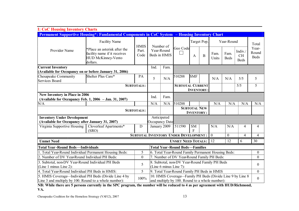| <b>I: CoC Housing Inventory Charts</b>                                                   |                                                                                                       |                   |      |                            |                                                           |                                          |              |               |                     |                                     |                               |  |  |
|------------------------------------------------------------------------------------------|-------------------------------------------------------------------------------------------------------|-------------------|------|----------------------------|-----------------------------------------------------------|------------------------------------------|--------------|---------------|---------------------|-------------------------------------|-------------------------------|--|--|
|                                                                                          | <b>Permanent Supportive Housing*: Fundamental Components in CoC System</b>                            |                   |      |                            | - Housing Inventory Chart                                 |                                          |              |               |                     |                                     |                               |  |  |
|                                                                                          | <b>Facility Name</b>                                                                                  | <b>HMIS</b>       |      | Number of                  | Geo Code                                                  |                                          | Target Pop.  |               | Year-Round          |                                     | Total                         |  |  |
| Provider Name                                                                            | *Place an asterisk after the<br>facility name if it receives<br><b>HUD McKinney-Vento</b><br>dollars. | Part.<br>Code     |      | Year-Round<br>Beds in HMIS |                                                           | A                                        | $\, {\bf B}$ | Fam.<br>Units | Fam.<br><b>Beds</b> | Indiv./<br><b>CH</b><br><b>Beds</b> | Year-<br>Round<br><b>Beds</b> |  |  |
| <b>Current Inventory</b>                                                                 |                                                                                                       |                   | Ind. | Fam.                       |                                                           |                                          |              |               |                     |                                     |                               |  |  |
| (Available for Occupancy on or before January 31, 2006)                                  |                                                                                                       |                   |      |                            |                                                           |                                          |              |               |                     |                                     |                               |  |  |
| Chesapeake Community<br><b>Services Board</b>                                            | Shelter Plus Care*                                                                                    | PA                | 5    | N/A                        | 510288                                                    | <b>SMF</b>                               |              | N/A           | N/A                 | 5/5                                 | 5                             |  |  |
| <b>SUBTOTALS:</b>                                                                        |                                                                                                       |                   |      |                            | <b>SUBTOTAL CURRENT</b>                                   | <b>INVENTORY:</b>                        |              |               |                     | 5/5                                 | 5                             |  |  |
| New Inventory in Place in 2006<br>(Available for Occupancy Feb. 1, 2006 - Jan. 31, 2007) |                                                                                                       |                   | Ind. | Fam.                       |                                                           |                                          |              |               |                     |                                     |                               |  |  |
| N/A                                                                                      |                                                                                                       |                   | N/A  | N/A                        | 510288                                                    |                                          |              | N/A           | N/A                 | N/A                                 | N/A                           |  |  |
|                                                                                          |                                                                                                       | <b>SUBTOTALS:</b> |      |                            |                                                           | <b>SUBTOTAL NEW</b><br><b>INVENTORY:</b> |              |               |                     |                                     |                               |  |  |
| <b>Inventory Under Development</b>                                                       |                                                                                                       |                   |      | Anticipated                |                                                           |                                          |              |               |                     |                                     |                               |  |  |
| (Available for Occupancy after January 31, 2007)                                         |                                                                                                       |                   |      | Occupancy Date             |                                                           |                                          |              |               |                     |                                     |                               |  |  |
| Virginia Supportive Housing                                                              | Cloverleaf Apartments*<br>(SRO)                                                                       | D                 |      | January 2009               | 511590                                                    | <b>SM</b><br>$\mathbf{E}$                |              | N/A           | N/A                 | $\overline{4}$                      | 4                             |  |  |
|                                                                                          |                                                                                                       |                   |      |                            | <b>SUBTOTAL INVENTORY UNDER DEVELOPMENT:</b>              |                                          |              | $\mathbf{0}$  | $\overline{0}$      | $\overline{4}$                      | 4                             |  |  |
| <b>Unmet Need</b>                                                                        |                                                                                                       |                   |      |                            | <b>UNMET NEED TOTALS:</b>                                 |                                          |              | 12            | 12                  | 6                                   | 30                            |  |  |
| <b>Total Year-Round Beds—Individuals</b>                                                 |                                                                                                       |                   |      |                            | <b>Total Year-Round Beds—Families</b>                     |                                          |              |               |                     |                                     |                               |  |  |
| 1. Total Year-Round Individual Permanent Housing Beds:                                   |                                                                                                       | 5                 |      |                            | 6. Total Year-Round Family Permanent Housing Beds:        |                                          |              |               |                     |                                     | $\boldsymbol{0}$              |  |  |
| 2. Number of DV Year-Round Individual PH Beds:                                           |                                                                                                       | $\boldsymbol{0}$  |      |                            | 7. Number of DV Year-Round Family PH Beds:                |                                          |              |               |                     |                                     | $\overline{0}$                |  |  |
| 3. Subtotal, non-DV Year-Round Individual PH Beds                                        |                                                                                                       | 5                 |      |                            | 8. Subtotal, non-DV Year-Round Family PH Beds             |                                          |              |               |                     |                                     | $\theta$                      |  |  |
| (Line 1 minus Line 2):                                                                   |                                                                                                       |                   |      |                            | (Line 6 minus Line 7):                                    |                                          |              |               |                     |                                     |                               |  |  |
| 4. Total Year-Round Individual PH Beds in HMIS:                                          |                                                                                                       | 5                 |      |                            | 9. Total Year-Round Family PH Beds in HMIS                |                                          |              |               |                     |                                     | $\theta$                      |  |  |
| 5. HMIS Coverage—Individual PH Beds (Divide Line 4 by                                    |                                                                                                       | 100%              |      |                            | 10. HMIS Coverage—Family PH Beds (Divide Line 9 by Line 8 |                                          |              |               |                     |                                     | $\theta$                      |  |  |
| Line 3 and multiply by 100. Round to a whole number):                                    |                                                                                                       |                   |      |                            | and multiply by 100. Round to a whole number):            |                                          |              |               |                     |                                     |                               |  |  |

**NB: While there are 5 persons currently in the SPC program, the number will be reduced to 4 as per agreement with HUD/Richmond, VA.**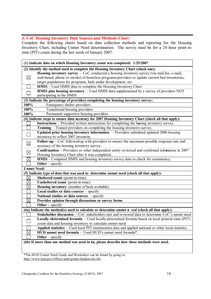#### **J: CoC Housing Inventory Data Sources and Methods Chart**

Complete the following charts based on data collection methods and reporting for the Housing Inventory Chart, including Unmet Need determination. The survey must be for a 24 -hour point-intime (PIT) count during the last week of January 2007.

|                    | (1) Indicate date on which Housing Inventory count was completed: 1/25/2007                          |
|--------------------|------------------------------------------------------------------------------------------------------|
|                    | (2) Identify the method used to complete the Housing Inventory Chart (check one):                    |
|                    | <b>Housing inventory survey</b> $-$ CoC conducted a housing inventory survey (via mail, fax, e-mail, |
| $\boxtimes$        | web-based, phone or on-site) of homeless programs/providers to update current bed inventories,       |
|                    | target populations for programs, beds under development, etc.                                        |
|                    | HMIS - Used HMIS data to complete the Housing Inventory Chart                                        |
|                    | <b>HMIS</b> plus housing inventory $-$ Used HMIS data supplemented by a survey of providers NOT      |
|                    | participating in the HMIS                                                                            |
|                    | (3) Indicate the percentage of providers completing the housing inventory survey:                    |
| 100%               | Emergency shelter providers                                                                          |
| 100%               | <b>Transitional housing providers</b>                                                                |
| 100%               | Permanent supportive housing providers                                                               |
|                    | (4) Indicate steps to ensure data accuracy for 2007 Housing Inventory Chart (check all that apply):  |
|                    | <b>Instructions</b> – Provided written instructions for completing the hosing inventory survey.      |
|                    | Training - Trained providers on completing the housing inventory survey.                             |
|                    | Updated prior housing inventory information - Providers submitted updated 2006 housing               |
|                    | inventory to reflect 2007 inventory.                                                                 |
| $\boxtimes$        | Follow-up $-$ CoC followed-up with providers to ensure the maximum possible response rate and        |
|                    | accuracy of the housing inventory survey.                                                            |
| $\boxtimes$        | Confirmation - Providers or other independent entity reviewed and confirmed infomation in 2007       |
|                    | Housing Inventory Chart after it was completed.                                                      |
| $\boxtimes$        | HMIS - Compared HMIS and housing inventory survey data to check for consistency.                     |
|                    | Other $-$ specify:                                                                                   |
| <b>Unmet Need:</b> |                                                                                                      |
|                    | (5) Indicate type of data that was used to determine unmet need (check all that apply):              |
| $\boxtimes$        | Sheltered count (point-in-time)                                                                      |
| $\boxtimes$        | Unsheltered count (point-in-time)                                                                    |
| $\boxtimes$        | Housing inventory (number of beds available)                                                         |
|                    | Local studies or data sources - specify:                                                             |
|                    | National studies or data sources - specify:                                                          |
| $\boxtimes$        | Provider opinion through discussions or survey forms                                                 |
|                    | Other $-$ specify:                                                                                   |
|                    | (6a) Indicate the method(s) used to calculate or determine unmet n eed (check all that apply):       |
|                    | Stakeholder discussion - CoC stakeholders met and reviewed data to determine CoC's unmet need        |
|                    | Locally-determined formula - Used locally-determined formula based on local point-in-time (PIT)      |
|                    | count data and housing inventory to calculate unmet need                                             |
|                    | Applied statistics - Used local PIT enumeration data and applied national or other local statistics  |
|                    | HUD unmet need formula - Used HUD's unmet need formula*                                              |
|                    | Other $-$ specify:                                                                                   |
|                    | (6b) If more than one method was used in 6a, please describe how these methods were used.            |
|                    |                                                                                                      |

\*The HUD Unmet Need Guide and Worksheet can be found by going to: http://www.hud.gov/offices/adm/grants/fundsavail.cfm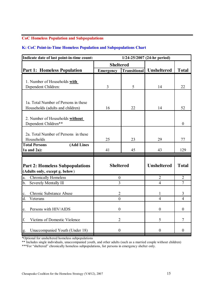#### **CoC Homeless Population and Subpopulations**

#### **K: CoC Point-in-Time Homeless Population and Subpopulations Chart**

| Indicate date of last point-in-time count:                               |                  |                     | $1/24 - 25/2007$ (24-hr period) |                  |
|--------------------------------------------------------------------------|------------------|---------------------|---------------------------------|------------------|
|                                                                          | <b>Sheltered</b> |                     |                                 |                  |
| <b>Part 1: Homeless Population</b>                                       | <b>Emergency</b> | <b>Transitional</b> | <b>Unsheltered</b>              | <b>Total</b>     |
|                                                                          |                  |                     |                                 |                  |
| 1. Number of Households with                                             | $\overline{3}$   | 5                   |                                 |                  |
| Dependent Children:                                                      |                  |                     | 14                              | 22               |
|                                                                          |                  |                     |                                 |                  |
| 1a. Total Number of Persons in these                                     |                  |                     |                                 |                  |
| Households (adults and children)                                         | 16               | 22                  | 14                              | 52               |
|                                                                          |                  |                     |                                 |                  |
| 2. Number of Households without                                          |                  |                     |                                 |                  |
| Dependent Children**                                                     |                  |                     |                                 | $\boldsymbol{0}$ |
| 2a. Total Number of Persons in these                                     |                  |                     |                                 |                  |
| Households                                                               | 25               | 23                  | 29                              | 77               |
| <b>(Add Lines</b><br><b>Total Persons</b>                                |                  |                     |                                 |                  |
| $1a$ and $2a$ ):                                                         | 41               | 45                  | 43                              | 129              |
|                                                                          |                  |                     |                                 |                  |
|                                                                          | <b>Sheltered</b> |                     | <b>Unsheltered</b>              | <b>Total</b>     |
| <b>Part 2: Homeless Subpopulations</b><br>(Adults only, except g. below) |                  |                     |                                 |                  |
| <b>Chronically Homeless</b><br>a.                                        | $\boldsymbol{0}$ |                     | $\overline{2}$                  | $\overline{2}$   |
| $b$<br>Severely Mentally Ill                                             | 3                |                     | $\overline{4}$                  | $\overline{7}$   |
|                                                                          |                  |                     |                                 |                  |
| <b>Chronic Substance Abuse</b><br>c.                                     | $\overline{2}$   |                     | 1                               | 3                |
| $d_{\cdot}$<br>Veterans                                                  | $\theta$         |                     | $\overline{4}$                  | $\overline{4}$   |
|                                                                          |                  |                     |                                 |                  |
| Persons with HIV/AIDS<br>e.                                              | $\boldsymbol{0}$ |                     | $\overline{0}$                  | $\theta$         |
| f.<br>Victims of Domestic Violence                                       | $\overline{2}$   |                     | 5                               | 7                |
|                                                                          |                  |                     |                                 |                  |
| Unaccompanied Youth (Under 18)<br>g.                                     | $\boldsymbol{0}$ |                     | $\theta$                        | $\theta$         |

\*Optional for unsheltered homeless subpopulations

\*\* Includes single individuals, unaccompanied youth, and other adults (such as a married couple without children)

\*\*\*For "sheltered" chronically homeless subpopulations, list persons in emergency shelter only.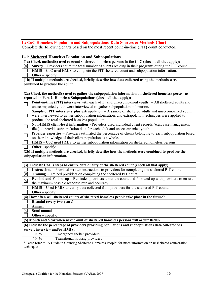# **L: CoC Homeless Population and Subpopulations Data Sources & Methods Chart**

Complete the following charts based on the most recent point -in-time (PIT) count conducted.

#### **L-1: Sheltered Homeless Population and Subpopulations**

|             | (1a) Check method(s) used to count sheltered homeless persons in the CoC (chec k all that apply):        |
|-------------|----------------------------------------------------------------------------------------------------------|
| $\bowtie$   | Survey – Providers count the total number of clients residing in their programs during the PIT count.    |
|             | HMIS – CoC used HMIS to complete the PIT sheltered count and subpopulation information.                  |
|             | Other $-$ specify:                                                                                       |
|             | (1b) If multiple methods are checked, briefly describe how data collected using the methods were         |
|             | combined to produce the count.                                                                           |
|             |                                                                                                          |
|             | (2a) Check the method(s) used to gather the subpopulation information on sheltered homeless perso ns     |
|             | reported in Part 2: Homeless Subpopulations (check all that apply):                                      |
| $\Box$      | Point-in-time (PIT) interviews with each adult and unaccompanied youth $-$ All sheltered adults and      |
|             | unaccompanied youth were interviewed to gather subpopulation information.                                |
|             | Sample of PIT interviews plus extrapolation $-A$ sample of sheltered adults and unaccompanied youth      |
| $\Box$      | were interviewed to gather subpopulation information, and extrapolation techniques were applied to       |
|             | produce the total sheltered homeess population.                                                          |
| $\boxtimes$ | Non-HMIS client-level information - Providers used individual client records (e.g., case management      |
|             | files) to provide subpopulation data for each adult and unaccompanied youth.                             |
| $\Box$      | Provider expertise – Providers estimated the percentage of clients belonging to each subpopulation based |
|             | on their knowledge of their client population as a whole.                                                |
|             | HMIS – CoC used HMIS to gather subpopulation information on sheltered homeless persons.                  |
|             | Other -specify:                                                                                          |
|             | (2b) If multiple methods are checked, briefly describe how the methods were combined to produce the      |
|             | subpopulation information.                                                                               |
|             |                                                                                                          |
| (3)         | Indicate CoC's steps to ensure data quality of the sheltered count (check all that apply):               |
| $\boxtimes$ | <b>Instructions</b> – Provided written instructions to providers for completing the sheltered PIT count. |
| $\boxtimes$ | Training – Trained providers on completing the sheltered PIT count.                                      |
| $\boxtimes$ | Remind and Follow-up – Reminded providers about the count and followed up with providers to ensure       |
|             | the maximum possible response rate and accuracy.                                                         |
|             | HMIS - Used HMIS to verify data collected from providers for the sheltered PIT count.                    |
|             | Other-specify:                                                                                           |
|             | (4) How often will sheltered counts of sheltered homeless people take place in the future?               |
|             | <b>Biennial (every two years)</b>                                                                        |
|             | Annual                                                                                                   |
| $\boxtimes$ | Semi-annual                                                                                              |
|             | Other $-$ specify:                                                                                       |
|             | (5) Month and Year when next c ount of sheltered homeless persons will occur: 8/2007                     |
|             | (6) Indicate the percentage of providers providing populations and subpopulations data collected via     |
|             | survey, interview and/or HMIS:                                                                           |
|             | 100%<br>Emergency shelter providers                                                                      |
|             | Transitional housing providers<br>100%                                                                   |
|             |                                                                                                          |

\*Please refer to 'A Guide to Counting Sheltered Homeless People' for more information on unsheltered enumeration techniques.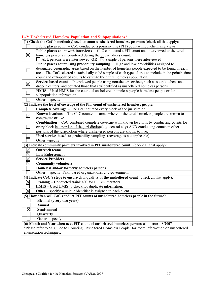#### **L-2: Unsheltered Homeless Population and Subpopulations\***

|             | (1) Check the CoC's method(s) used to count unsheltered homeless pe rsons (check all that apply):       |
|-------------|---------------------------------------------------------------------------------------------------------|
|             | Public places count – CoC conducted a point-in-time (PIT) count without client interviews.              |
|             | Public places count with interviews - CoC conducted a PIT count and interviewed unsheltered             |
| $\boxtimes$ | homeless persons encountered during the public places count:                                            |
|             | ALL persons were interviewed OR $\boxtimes$ Sample of persons were interviewed                          |
|             | Public places count using probability sampling - High and low probabilities assigned to                 |
|             | designated geographic areas based on the number of homeless people expected to be found in each         |
|             | area. The CoC selected a statistically valid sample of each type of area to include in the pointin-time |
|             | count and extrapolated results to estimate the entire homeless population.                              |
| $\boxtimes$ | Service-based count – Interviewed people using non-shelter services, such as soup kitchens and          |
|             | drop-in centers, and counted those that selfidentified as unsheltered homeless persons.                 |
|             | HMIS - Used HMIS for the count of unsheltered homeless people homeless people or for                    |
|             | subpopulation information.                                                                              |
|             | Other $-$ specify:                                                                                      |
|             | (2) Indicate the level of coverage of the PIT count of unsheltered homeless people:                     |
|             | <b>Complete coverage</b> $-$ The CoC counted every block of the jurisdiction.                           |
| $\boxtimes$ | Known locations - The CoC counted in areas where unsheltered homeless people are known to               |
|             | congregate or live.                                                                                     |
|             | <b>Combination</b> $-$ CoC combined complete coverage with known locations by conducting counts for     |
|             | every block in a portion of the jurisdiction (e.g. central city) AND conducting counts in other         |
|             | portions of the jurisdiction where unsheltered persons are known to live.                               |
|             | Used service-based or probability sampling (coverage is not applicable)                                 |
|             | Other -specify:                                                                                         |
|             | (3) Indicate community partners involved in PIT unsheltered count (check all that apply):               |
| $\boxtimes$ | <b>Outreach teams</b>                                                                                   |
| $\boxtimes$ | <b>Law Enforcement</b>                                                                                  |
| $\times$    | <b>Service Providers</b>                                                                                |
| $\boxtimes$ | <b>Community volunteers</b>                                                                             |
|             | Homeless and/or formerly homeless persons                                                               |
| $\boxtimes$ | Other - specify: Faith-based organizations; city government                                             |
|             | (4) Indicate CoC's steps to ensure data quali ty of the unsheltered count (check all that apply):       |
| $\boxtimes$ | <b>Training – Conducted training(s) for PIT enumerators.</b>                                            |
|             | HMIS - Used HMIS to check for duplicate information.                                                    |
| $\boxtimes$ | Other - specify: a unique identifier is assigned to each client                                         |
|             | (5) How often will CoC conduct PIT counts of unsheltered homeless people in the future?                 |
|             | <b>Biennial (every two years)</b>                                                                       |
|             | <b>Annual</b>                                                                                           |
| $\times$    | Semi-annual                                                                                             |
|             | Quarterly                                                                                               |
|             | Other $-$ specify:                                                                                      |
|             | 6. Month and Voor whon nort DIT count of unsheltered homeless persons will occur: 8/2007                |

**(6) Month and Year when next PIT count of unsheltered homeless persons will occur: 8/2007** \*Please refer to 'A Guide to Counting Unsheltered Homeless People' for more information on unsheltered enumeration techniques.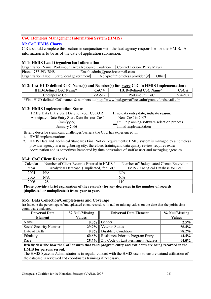#### **CoC Homeless Management Information System (HMIS)**

#### **M: CoC HMIS Charts**

CoCs should complete this section in conjunction with the lead agency responsible for the HMIS. All information is to be as of the date of application submission.

#### **M-1: HMIS Lead Organization Information**

| <b>Organization Name: Portsmouth Area Resource Coalition   Contact Person: Perry Mayer</b>         |                                                         |  |
|----------------------------------------------------------------------------------------------------|---------------------------------------------------------|--|
| Phone: 757-393-7848                                                                                | Email: $\text{admin}(\hat{\omega})$ parc.hr coxmail.com |  |
| $\alpha$ Organization Type: State/local government $\Box$ Non-profit/homeless provider $\boxtimes$ | Other                                                   |  |

#### **M-2: List HUD-defined CoC Name(s) and Number(s) for** *every* **CoC in HMIS Implementation:**

| <b>HUD-Defined CoC Name*</b> | $20C \#$ | <b>HUD-Defined CoC Name*</b> | $\cup$ o $\mathsf{C}^{\mathsf{C}}$ |
|------------------------------|----------|------------------------------|------------------------------------|
| Chesapeake CoC               | VΔ       | Portsmouth CoC               | וור                                |
|                              |          | $\sim$                       |                                    |

\*Find HUD-defined CoC names & numbers at: http://www.hud.gov/offices/adm/grants/fundsavail.cfm

#### **M-3: HMIS Implementation Status**

| HMIS Data Entry Start Date for your CoCOR<br>Anticipated Date Entry Start Date for your CoC | If no data entry date, indicate reason:<br>$\Box$ New CoC in 2007 |
|---------------------------------------------------------------------------------------------|-------------------------------------------------------------------|
| $\text{mm}/\text{vv}$                                                                       | $\Box$ Still in planning/software selection process               |
| <b>January 2006</b>                                                                         | Initial implementation                                            |
|                                                                                             |                                                                   |

Briefly describe significant challenges/barriers the CoC has experienced in:

- 1. HMIS implementation:
- 2. HMIS Data and Technical Standards Final Notice requirements: HMIS system is managed by a homeless provider agency in a neighboring city; therefore, training and data quality review requires extra coordination and is sometimes hampered by time constraints of staff at user and managing agencies.

#### **M-4: CoC Client Records**

| Calendar | Number of Client Records Entered in HMIS /                                                     | Number of Unduplicated Clients Entered in |
|----------|------------------------------------------------------------------------------------------------|-------------------------------------------|
| Year     | Analytical Database (Duplicated) for CoC                                                       | HMIS / Analytical Database for CoC        |
| 2004     | N/A                                                                                            | N/A                                       |
| 2005     | N/A                                                                                            | N/A                                       |
| 2006     | 128                                                                                            | 110                                       |
|          | Please provide a brief explanation of the reason(s) for any decreases in the number of records |                                           |

**(duplicated or unduplicated) from year to year.**

#### **M-5: Data Collection/Completeness and Coverage**

(a) Indicate the percentage of unduplicated client records with null or missing values on the date that the point-time count was conducted.

| Universal Data                     | % Null/Missing                                                     | <b>Universal Data Element</b>                                                                                                       | % Null/Missing |
|------------------------------------|--------------------------------------------------------------------|-------------------------------------------------------------------------------------------------------------------------------------|----------------|
| <b>Element</b>                     | <b>Values</b>                                                      |                                                                                                                                     | <b>Values</b>  |
| Name                               |                                                                    | $0.0\%$ Gender                                                                                                                      | 2.5%           |
| Social Security Number             |                                                                    | 29.9% Veteran Status                                                                                                                | 56.4%          |
| Date of Birth                      |                                                                    | <b>0.8%</b> Disabling Condition                                                                                                     | 98.2%          |
| Ethnicity                          |                                                                    | 60.6% Residence Prior to Program Entry                                                                                              | 44.4%          |
| Race                               |                                                                    | 25.6% Zip Code of Last Permanent Address                                                                                            | 94.0%          |
| $\mathbf{r}$ . $\mathbf{r}$<br>. . | $\mathbf{a}$ $\mathbf{a}$<br>$\mathbf{r}$ , the state $\mathbf{r}$ | $\mathbf{r}$ and $\mathbf{r}$ and $\mathbf{r}$ and $\mathbf{r}$ and $\mathbf{r}$ and $\mathbf{r}$ and $\mathbf{r}$ and $\mathbf{r}$ |                |

#### **Briefly describe how the CoC ensures that valid program entry and exit dates are being recorded in the HMIS for persons served.**

The HMIS Systems Administrator is in regular contact with the HMIS users to ensure datand utilization of the database is reviewed and coordinates trainings if necessary.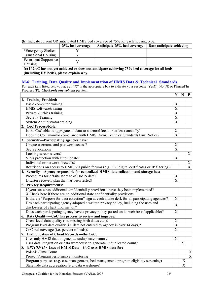|                                          |                  | TDI INGRAIC CATTUNI OIX ANIQIPARU TINITO OCA COVUNZU OI 7970 IOI CACN NOUSING TVDU.            |                           |
|------------------------------------------|------------------|------------------------------------------------------------------------------------------------|---------------------------|
|                                          | 75% bed coverage | Anticipate 75% bed coverage                                                                    | Date anticipate achieving |
| *Emergency Shelter                       |                  |                                                                                                |                           |
| <b>Transitional Housing</b>              |                  |                                                                                                |                           |
| Permanent Supportive                     |                  |                                                                                                |                           |
| Housing                                  |                  |                                                                                                |                           |
|                                          |                  | (c) If CoC has not yet achieved or does not anticipate achieving 75% bed coverage for all beds |                           |
| (including DV beds), please explain why. |                  |                                                                                                |                           |

**(b)** Indicate current OR anticipated HMIS bed coverage of 75% for each housing type.

**M-6: Training, Data Quality and Implementation of HMIS Data & Technical Standards**

For each item listed below, place an "X" in the appropriate box to indicate your response: Yes Y), No (N) or Planned/In Progress (**P**). Check *only one column* per item.

|                                                                                                   | Y                | N                     | $\mathbf{P}$   |
|---------------------------------------------------------------------------------------------------|------------------|-----------------------|----------------|
| 1. Training Provided:                                                                             |                  |                       |                |
| Basic computer training                                                                           | X                |                       |                |
| HMIS softwaretraining                                                                             | X                |                       |                |
| Privacy / Ethics training                                                                         | $\mathbf X$      |                       |                |
| <b>Security Training</b>                                                                          | $\mathbf X$      |                       |                |
| System Administrator training                                                                     | $\overline{X}$   |                       |                |
| 2. CoC Process/Role:                                                                              |                  |                       |                |
| Is the CoC able to aggregate all data to a central location at least annually?                    | X                |                       |                |
| Does the CoC monitor compliance with HMIS Data& Technical Standards Final Notice?                 | X                |                       |                |
| 3. Security-Participating agencies have:                                                          |                  |                       |                |
| Unique username and password access?                                                              | X                |                       |                |
| Secure location?                                                                                  | $\overline{X}$   |                       |                |
| Locking screen savers?                                                                            |                  |                       | X              |
| Virus protection with auto update?                                                                | X                |                       |                |
| Individual or network firewalls?                                                                  |                  |                       | X              |
| Restrictions on access to HMIS via public forums (e.g. PKI digital certificates or IP filtering)? |                  |                       | X              |
| 4. Security—Agency responsible for centralized HMIS data collection and storage has:              |                  |                       |                |
| Procedures for off-site storage of HMIS data?                                                     | X                |                       |                |
| Disaster recovery plan that has been tested?                                                      | $\overline{X}$   |                       |                |
| 5. Privacy Requirements:                                                                          |                  |                       |                |
| If your state has additional confidentiality provisions, have they been implemented?              |                  |                       |                |
| X Check here if there are no additional state confidentiality provisions.                         |                  |                       |                |
| Is there a "Purpose for data collection" sign at each intake desk for all participating agencies? | X                |                       |                |
| Has each participating agency adopted a written privacy policy, including the uses and            | X                |                       |                |
| disclosures of client information?                                                                |                  |                       |                |
| Does each participating agency have a privacy policy posted on its website (if applicable)?       | $\overline{X}$   |                       |                |
| 6. Data Quality – CoC has process to review and improve:                                          |                  |                       |                |
| Client level data quality (i.e. missing birth dates etc.)?                                        | $\boldsymbol{X}$ |                       |                |
| Program level data quality (i.e. data not entered by agency in over 14 days)?                     | $\overline{X}$   |                       |                |
| CoC bed coverage (i.e. percent of beds)?                                                          | X                |                       |                |
| 7. Unduplication of Client Records - the CoC:                                                     |                  |                       |                |
| Uses only HMIS data to generate unduplicated count?                                               | X                |                       |                |
| Uses data integration or data warehouse to generate unduplicated count?                           |                  | X                     |                |
| 8. OPTIONAL: Uses of HMIS Data-CoC uses HMIS data for:                                            |                  |                       |                |
| Point-in-Time Count                                                                               |                  |                       | $\mathbf X$    |
| Project/Program performance monitoring                                                            |                  |                       | $\overline{X}$ |
| Program purposes (e.g. case management, bed management, program eligibility screening)            |                  | X                     |                |
| Statewide data aggregation (e.g. data warehouse)                                                  |                  | $\overline{\text{X}}$ |                |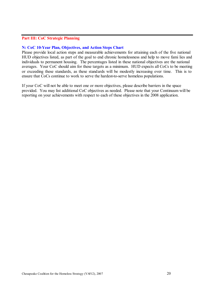#### **Part III: CoC Strategic Planning**

#### **N: CoC 10-Year Plan, Objectives, and Action Steps Chart**

Please provide local action steps and measurable achievements for attaining each of the five national HUD objectives listed, as part of the goal to end chronic homelessness and help to move fami lies and individuals to permanent housing. The percentages listed in these national objectives are the national averages. Your CoC should aim for these targets as a minimum. HUD expects all CoCs to be meeting or exceeding these standards, as these standards will be modestly increasing over time. This is to ensure that CoCs continue to work to serve the hardest-to-serve homeless populations.

If your CoC will not be able to meet one or more objectives, please describe barriers in the space provided. You may list additional CoC objectives as needed. Please note that your Continuum will be reporting on your achievements with respect to each of these objectives in the 2008 application.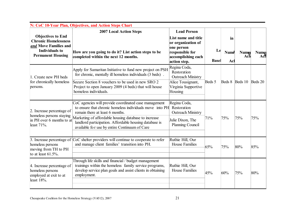| <b>Objectives to End</b><br><b>Chronic Homelessness</b>                               | <b>2007 Local Action Steps</b>                                                                                                                                                               | <b>Lead Person</b><br>List name and title<br>or organization of     |                    | in          |                     |              |
|---------------------------------------------------------------------------------------|----------------------------------------------------------------------------------------------------------------------------------------------------------------------------------------------|---------------------------------------------------------------------|--------------------|-------------|---------------------|--------------|
| and Move Families and<br><b>Individuals to</b><br><b>Permanent Housing</b>            | How are you going to do it? List action steps to be<br>completed within the next 12 months.                                                                                                  | one person<br>responsible for<br>accomplishing each<br>action step. | Le<br><b>Basel</b> | Nume<br>Acl | <b>Numer</b><br>Ach | Numer<br>Ach |
| 1. Create new PH beds                                                                 | Apply for Samaritan Initiative to fund new project on PSH<br>for chronic, mentally ill homeless individuals (3 beds).                                                                        | Regina Coda,<br>Restoration<br><b>Outreach Ministry</b>             |                    |             |                     |              |
| for chronically homeless<br>persons.                                                  | Secure Section 8 vouchers to be used in new SRO 2<br>Project to open January 2009 (4 beds) that will house<br>homeless individuals.                                                          | Alice Tousignant,<br>Virginia Supportive<br>Housing                 | Beds 5             | Beds 8      | Beds 10             | Beds 20      |
| 2. Increase percentage of                                                             | CoC agencies will provide coordinated case management<br>to ensure that chronic homeless individuals move into PH<br>remain there at least 6 months.                                         | Regina Coda,<br>Restoration<br><b>Outreach Ministry</b>             | 71%                | 75%         | 75%                 | 75%          |
| homeless persons staying<br>in PH over 6 months to at<br>least 71%.                   | Marketing of affordable housing database to increase<br>landlord participation. Affordable housing database is<br>available for use by entire Continuum of Care                              | Julie Dixon, The<br>Planning Council                                |                    |             |                     |              |
| homeless persons<br>moving from TH to PH<br>to at least $61.5\%$ .                    | 3. Increase percentage of CoC shelter providers will continue to cooperate to refer<br>and manage client families' transition into PH.                                                       | Ruthie Hill, Our<br><b>House Families</b>                           | 65%                | 75%         | 80%                 | 85%          |
| 4. Increase percentage of<br>homeless persons<br>employed at exit to at<br>least 18%. | Through life skills and financial / budget management<br>trainings within the homeless family service programs,<br>develop service plan goals and assist clients in obtaining<br>employment. | Ruthie Hill, Our<br><b>House Families</b>                           | 45%                | 60%         | 75%                 | 80%          |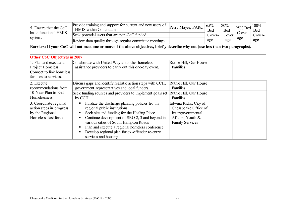| 5. Ensure that the CoC<br>has a functional HMIS<br>system.                                     | Provide training and support for current and new users of<br>HMIS within Continuum.<br>Seek potential users that are non-CoC funded.<br>Review data quality through regular committee meetings.                                                                                                                                                       | Perry Mayer, PARC                                                                                                | 65%<br><b>Bed</b><br>Cover-<br>age | 80%<br><b>Bed</b><br>Cover<br>-age | 95% Bed<br>Cover-<br>age | 100%<br>Bed<br>Cover-<br>age |  |  |  |  |
|------------------------------------------------------------------------------------------------|-------------------------------------------------------------------------------------------------------------------------------------------------------------------------------------------------------------------------------------------------------------------------------------------------------------------------------------------------------|------------------------------------------------------------------------------------------------------------------|------------------------------------|------------------------------------|--------------------------|------------------------------|--|--|--|--|
|                                                                                                | Barriers: If your CoC will not meet one or more of the above objectives, briefly describe why not (use less than two paragraphs).                                                                                                                                                                                                                     |                                                                                                                  |                                    |                                    |                          |                              |  |  |  |  |
| <b>Other CoC Objectives in 2007</b>                                                            |                                                                                                                                                                                                                                                                                                                                                       |                                                                                                                  |                                    |                                    |                          |                              |  |  |  |  |
| 1. Plan and execute a<br>Project Homeless<br>Connect to link homeless<br>families to services. | Collaborate with United Way and other homeless<br>assistance providers to carry out this one-day event.                                                                                                                                                                                                                                               | Ruthie Hill, Our House<br>Families                                                                               |                                    |                                    |                          |                              |  |  |  |  |
| 2. Execute<br>recommendations from<br>10-Year Plan to End<br>Homelessness                      | Discuss gaps and identify realistic action steps with CCH,<br>government representatives and local funders.<br>Seek funding sources and providers to implement goals set Ruthie Hill, Our House<br>by CCH.                                                                                                                                            | Ruthie Hill, Our House<br>Families<br>Families                                                                   |                                    |                                    |                          |                              |  |  |  |  |
| 3. Coordinate regional<br>action steps in progress<br>by the Regional<br>Homeless Taskforce    | Finalize the discharge planning policies fro m<br>regional public institutions<br>Seek site and funding for the Healing Place<br>Continue development of SRO 2, 3 and beyond in<br>various cities of South Hampton Roads<br>Plan and execute a regional homeless conference<br>Develop regional plan for ex-offender re-entry<br>services and housing | Edwina Ricks, City of<br>Chesapeake Office of<br>Intergovernmental<br>Affairs, Youth &<br><b>Family Services</b> |                                    |                                    |                          |                              |  |  |  |  |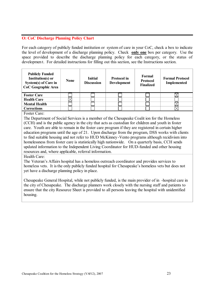#### **O: CoC Discharge Planning Policy Chart**

For each category of publicly funded institution or system of care in your CoC, check a box to indicate the level of development of a discharge planning policy. Check **only one** box per category. Use the space provided to describe the discharge planning policy for each category, or the status of developmen t. For detailed instructions for filling out this section, see the Instructions section.

| <b>Publicly Funded</b><br>Institution(s) or<br>System(s) of Care in<br>CoC Geographic Area | <b>None</b> | <b>Initial</b><br><b>Discussion</b> | <b>Protocol in</b><br><b>Development</b> | Formal<br>Protocol<br><b>Finalized</b> | <b>Formal Protocol</b><br><b>Implemented</b> |
|--------------------------------------------------------------------------------------------|-------------|-------------------------------------|------------------------------------------|----------------------------------------|----------------------------------------------|
| <b>Foster Care</b>                                                                         |             |                                     |                                          |                                        |                                              |
| <b>Health Care</b>                                                                         |             |                                     |                                          |                                        |                                              |
| <b>Mental Health</b>                                                                       |             |                                     |                                          |                                        |                                              |
| <b>Corrections</b>                                                                         |             |                                     |                                          |                                        |                                              |

Foster Care:

The Department of Social Services is a member of the Chesapeake Coalit ion for the Homeless (CCH) and is the public agency in the city that acts as custodian for children and youth in foster care. Youth are able to remain in the foster care program if they are registered in certain higher education programs until the age of 21. Upon discharge from the program, DSS works with clients to find suitable housing and not refer to HUD McKinney -Vento programs although recidivism into homelessness from foster care is statistically high nationwide. On a quarterly basis, CCH sends updated information to the Independent Living Coordinator for HUD-funded and other housing resources and, where applicable, referral information.

Health Care:

The Veteran's Affairs hospital has a homeless outreach coordinator and provides services to homeless vets. It is the only publicly funded hospital for Chesapeake's homeless vets but does not yet have a discharge planning policy in place.

Chesapeake General Hospital, while not publicly funded, is the main provider of in -hospital care in the city of Chesapeake. The discharge planners work closely with the nursing staff and patients to ensure that the city Resource Sheet is provided to all persons leaving the hospital with unidentified housing.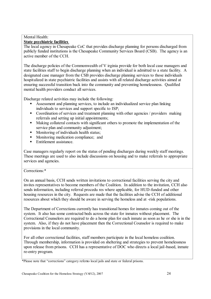#### Mental Health: **State psychiatric facilities**

The local agency in Chesapeake CoC that provides discharge planning for persons discharged from publicly funded institutions is the Chesapeake Community Services Board (CSB). The agency is an active member of the CCH.

The discharge policies of the Commonwealth of V irginia provide for both local case managers and state facilities staff to begin discharge planning when an individual is admitted to a state facility. A designated case manager from the CSB provides discharge planning services to those individuals hospitalized in state psychiatric facilities and assists with all related discharge activities aimed at ensuring successful transition back into the community and preventing homelessness. Qualified mental health providers conduct all services.

Discharge related activities may include the following:

- Assessment and planning services, to include an individualized service plan linking individuals to services and support specific to ISP;
- Coordination of services and treatment planning with other agencies / providers making referrals and setting up initial appointments;
- Making collateral contacts with significant others to promote the implementation of the service plan and community adjustment:
- Monitoring of individuals health status:
- Monitoring medication compliance: and
- Entitlement assistance.

Case managers regularly report on the status of pending discharges during weekly staff meetings. These meetings are used to also include discussions on housing and to make referrals to appropriate services and agencies.

#### Corrections:\*

On an annual basis, CCH sends written invitations to correctional facilities serving the city and invites representatives to become members of the Coalition. In addition to the invitation, CCH also sends information, including referral procedu res where applicable, for HUD-funded and other housing resources in the city. Requests are made that the facilities advise the CCH of additional resources about which they should be aware in serving the homeless and at -risk populations.

The Department of Corrections currently has transitional homes for inmates coming out of the system. It also has some contracted beds across the state for inmates without placement. The Correctional Counselors are required to do a home plan for each inmate as soon as he or she is in the system. Also, if they do not have placement then the Correctional Counselor is required to make provisions in the local community.

For all other correctional facilities, staff members participate in the local homeless coalition. Through membership, information is provided on sheltering and strategies to prevent homelessness upon release from prisons. CCH has a representative of DOC who directs a local jail-based, inmate re-entry program.

<sup>\*</sup>Please note that "corrections" category refersto local jails and state or federal prisons.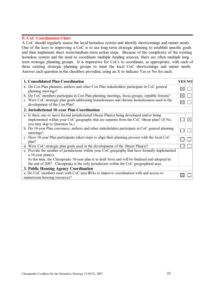#### **P: CoC Coordination Chart**

A CoC should regularly assess the local homeless system and identify shortcomings and unmet needs. One of the keys to improving a CoC is to use long-term strategic planning to establish specific goals and then implement short -term/medium-term action steps. Because of the complexity of the existing homeless system and the need to coordinate multiple funding sources, there are often multiple long term strategic planning groups. It is imperative for CoCs to coordinate, as appropriate, with each of these existing strategic planning groups to meet the local CoC shortcomings and unmet needs. Answer each question in the checkbox provided, using an X to indicate Yes or No for each.

| 1. Consolidated Plan Coordination                                                                                             | <b>YES NO</b> |           |  |  |  |  |
|-------------------------------------------------------------------------------------------------------------------------------|---------------|-----------|--|--|--|--|
| a. Do Con Plan planners, authors and other Con Plan stakeholders participate in CoC general<br>planning meetings?             | ⋉             |           |  |  |  |  |
| b. Do CoC members participate in Con Plan planning meetings, focus groups, orpublic forums?                                   |               |           |  |  |  |  |
| c. Were CoC strategic plan goals addressing homelessness and chronic homelessness used in the<br>development of the Con Plan? | $\boxtimes$   |           |  |  |  |  |
| 2. Jurisdictional 10-year Plan Coordination                                                                                   |               |           |  |  |  |  |
| a. Is there one or more formal jurisdictional 10year Plan(s) being developed and/or being                                     |               |           |  |  |  |  |
| implemented within your CoC geography that are separate from the CoC 10year plan? (If No,<br>you may skip to Question 3a.)    |               | $\bowtie$ |  |  |  |  |
| b. Do 10-year Plan conveners, authors and other stakeholders participate in CoC general planning<br>meetings?                 |               |           |  |  |  |  |
| c. Have 10-year Plan participants taken steps to align their planning process with the local CoC<br>plan?                     |               |           |  |  |  |  |
| d. Were CoC strategic plan goals used in the development of the 10year Plan(s)?                                               |               |           |  |  |  |  |
| e. Provide the number of jurisdictions within your CoC geography that have formally implemented<br>a 10-year plan(s).         |               |           |  |  |  |  |
| At this time, the Chesapeake 10-year plan is in draft form and will be finalized and adopted by                               |               |           |  |  |  |  |
| the end of 2007. Chesapeake is the only jurisdiction within the CoC geographical area.                                        |               |           |  |  |  |  |
| 3. Public Housing Agency Coordination                                                                                         |               |           |  |  |  |  |
| a. Do CoC members meet with CoC area IHAs to improve coordination with and access to                                          |               |           |  |  |  |  |
| mainstream housing resources?                                                                                                 |               |           |  |  |  |  |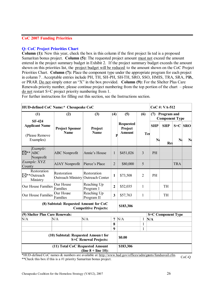#### **CoC 2007 Funding Priorities**

#### **Q: CoC Project Priorities Chart**

**Column (1):** New this year, check the box in this column if the first project lis ted is a proposed Samaritan bonus project. **Column (5):** The requested project amount must not exceed the amount entered in the project summary budget in Exhibit 2. If the project summary budget exceeds the amount shown on this priorities list, the project budget will be reduced to the amount shown on the CoC Project Priorities Chart. **Column (7):** Place the component type under the appropriate program for each project in column 7 . Acceptable entries include PH, TH, SH-PH, SH-TH, SRO, SSO, HMIS, TRA, SRA, PRA, or PRAR. Do not simply enter an "X" in the box provided. **Column (9):** For the Shelter Plus Care Renewals priority number, please continue project numbering from the top portion of the chart – please do not restart S+C project priority numbering from 1.

For further instructions for filling out this section, see the Instructions section.

| HUD-defined CoC Name:* Chesapeake CoC             |                                                         |                                                   |                |                                              |                |                | CoC#: VA-512                         |                |             |  |
|---------------------------------------------------|---------------------------------------------------------|---------------------------------------------------|----------------|----------------------------------------------|----------------|----------------|--------------------------------------|----------------|-------------|--|
| (1)                                               | (2)                                                     | (3)                                               | (4)            | (5)                                          | (6)            | (7)            | Program and<br><b>Component Type</b> |                |             |  |
| <b>SF-424</b><br><b>Applicant Name</b>            | <b>Project Sponsor</b><br><b>Name</b>                   | Project<br><b>Name</b>                            |                | <b>Requested</b><br>Project<br><b>Amount</b> | Ter            | <b>SHP</b>     | <b>SHP</b>                           |                | $S+C$ SRO   |  |
| (Please Remove<br>Examples)                       |                                                         |                                                   | P              |                                              |                | N <sub>0</sub> | Rei                                  | N <sub>0</sub> | $\mathbf N$ |  |
| Example:<br>$\boxtimes$ ** ABC<br>Nonprofit       | <b>ABC</b> Nonprofit                                    | Annie's House                                     | 1              | \$451,026                                    | $\overline{3}$ | PH             |                                      |                |             |  |
| Example: XYZ<br>County                            | <b>AJAY Nonprofit</b>                                   | Pierce's Place                                    | $\overline{2}$ | \$80,000                                     | 5              |                |                                      | <b>TRA</b>     |             |  |
| Restoration<br>$\boxtimes^*$ Outreach<br>Ministry | Restoration<br><b>Outreach Ministry Outreach Center</b> | Restoration                                       | 1              | \$73,508                                     | $\overline{2}$ | PH             |                                      |                |             |  |
| <b>Our House Families</b>                         | Our House<br>Families                                   | Reaching Up<br>Program 1                          | $\mathbf{2}$   | \$52,035                                     | 1              |                | <b>TH</b>                            |                |             |  |
| Our House Families                                | Our House<br>Families                                   | Reaching Up<br>Program II                         | 3              | \$57,763                                     | 1              |                | TH                                   |                |             |  |
|                                                   | (8) Subtotal: Requested Amount for CoC                  | <b>Competitive Projects:</b>                      |                | \$183,306                                    |                |                |                                      |                |             |  |
| (9) Shelter Plus Care Renewals:                   |                                                         |                                                   |                |                                              |                |                | <b>S+C Component Type</b>            |                |             |  |
| N/A                                               | N/A                                                     | N/A                                               | 7              | N/A                                          | $\mathbf{1}$   | N/A            |                                      |                |             |  |
|                                                   |                                                         |                                                   | 8              |                                              | $\mathbf{1}$   |                |                                      |                |             |  |
|                                                   |                                                         |                                                   | 9              |                                              | $\mathbf{1}$   |                |                                      |                |             |  |
|                                                   | (10) Subtotal: Requested Amount for                     | <b>S+C Renewal Projects:</b>                      |                | \$0.00                                       |                |                |                                      |                |             |  |
| $*$ III ID $\pm$ C<br>$1 \cap R$                  | (11) Total CoC Requested Amount                         | (line $8 +$ line 10):<br>11.1.1.12.11.13.13.17.14 |                | \$183,306<br>1.00<br>$\mathbf{J}$            | $\mathbf{J}$ . |                | $n \cdot c$<br>$\mathbf{J}$ .        |                |             |  |

\*HUD-defined CoC names & numbers are available at: http://www.hud.gov/offices/adm/grants/fundsavail.cfm. \*\*\*\*\*Check this box if this is a #1 priority Samaritan bonus project.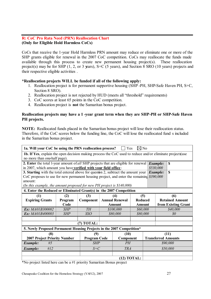#### **R: CoC Pro Rata Need (PRN) Reallocation Chart (Only for Eligible Hold Harmless CoCs)**

CoCs that receive the 1-year Hold Harmless PRN amount may reduce or eliminate one or more of the SHP grants eligible for renewal in the 2007 CoC competition. CoCs may reallocate the funds made available through this process to create new permanent housing project(s). These reallocation project(s) may be for SHP (1, 2, or 3 years), S+C (5 years), and Section 8 SRO (10 years) projects and their respective eligible activities .

#### **\*Reallocation projects WILL be funded if all of the following apply:**

- 1. Reallocation project is for permanent supportive housing (SHP -PH, SHP-Safe Haven PH, S+C, Section 8 SRO).
- 2. Reallocation project is not rejected by HUD (meets all "threshold" requirements)
- 3. CoC scores at least 65 points in the CoC competition.
- 4. Reallocation project is **not** the Samaritan bonus project.

#### **Reallocation projects may have a 1 -year grant term when they are SHP-PH or SHP-Safe Haven PH projects.**

**NOTE:** Reallocated funds placed in the Samaritan bonus project will lose their reallocation status. Therefore, if the CoC scores below the funding line, the CoC will lose the reallocated fund s included in the Samaritan bonus project.

| 1a. Will your CoC be using the PRN reallocation process?<br>$\Box$ Yes<br>$\boxtimes$ No                         |            |                     |                                         |               |               |  |                        |                            |
|------------------------------------------------------------------------------------------------------------------|------------|---------------------|-----------------------------------------|---------------|---------------|--|------------------------|----------------------------|
| <b>1b.</b> If Yes, explain the open decision making process the CoC used to reduce and/or eliminate projects use |            |                     |                                         |               |               |  |                        |                            |
| no more than one-half page).                                                                                     |            |                     |                                         |               |               |  |                        |                            |
| 2. Enter the total 1-year amount of all SHP projects that are eligible for renewal                               |            |                     |                                         |               |               |  | <b>Example:</b>        | S                          |
| in 2007, which amount you have verified with your field office:                                                  |            |                     |                                         |               |               |  | \$530,000              |                            |
| 3. Starting with the total entered above for question 2, subtract the amount your                                |            |                     |                                         |               |               |  | <b>Example:</b>        | $\mathbf S$                |
| CoC proposes to use for new permanent housing project, and enter the remaining                                   |            |                     |                                         |               |               |  | \$390,000              |                            |
| amount:                                                                                                          |            |                     |                                         |               |               |  |                        |                            |
| (In this example, the amount proposed for new PH project is $$140,000$ )                                         |            |                     |                                         |               |               |  |                        |                            |
| 4. Enter the Reduced or Eliminated Grant(s) in the 2007 Competition                                              |            |                     |                                         |               |               |  |                        |                            |
| (1)                                                                                                              | (2)        | (3)                 | (4)<br>(5)                              |               |               |  | (6)                    |                            |
| <b>Expiring Grants</b>                                                                                           | Program    | Component           | <b>Annual Renewal</b><br><b>Reduced</b> |               |               |  | <b>Retained Amount</b> |                            |
|                                                                                                                  | Code       |                     |                                         | <b>Amount</b> | <b>Amount</b> |  |                        | from Existing Grant        |
| <b>Ex:</b> MA01B300002                                                                                           | <b>SHP</b> | TH <sub>1</sub>     |                                         | \$100,000     | \$60,000      |  | \$40,000               |                            |
| <b>Ex:</b> MA01B400003                                                                                           | <b>SHP</b> | <b>SSO</b>          |                                         | \$80,000      | \$80,000      |  |                        | 80                         |
|                                                                                                                  |            |                     |                                         |               |               |  |                        |                            |
|                                                                                                                  |            | $(7)$ TOTAL:        |                                         |               |               |  |                        |                            |
| 5. Newly Proposed Permanent Housing Projects in the 2007 Competition*                                            |            |                     |                                         |               |               |  |                        |                            |
| (8)                                                                                                              |            | (9)                 |                                         | (10)          |               |  |                        | (11)                       |
| 2007 Project Priority Number                                                                                     |            | <b>Program Code</b> |                                         | Component     |               |  |                        | <b>Transferred Amounts</b> |
| <b>Example:</b><br>#5                                                                                            |            | <b>SHP</b>          |                                         | PH            |               |  |                        | \$90,000                   |
| #12<br><b>Example:</b>                                                                                           |            |                     | $S+C$                                   |               | <b>TRA</b>    |  |                        | \$50,000                   |
|                                                                                                                  |            |                     |                                         |               |               |  |                        |                            |
|                                                                                                                  |            |                     |                                         | $(12)$ TOTAL: |               |  |                        |                            |

\*No project listed here can be a #1 priority Samaritan Bonus project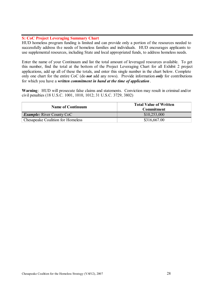#### **S: CoC Project Leveraging Summary Chart**

HUD homeless program funding is limited and can provide only a portion of the resources needed to successfully address the needs of homeless families and individuals. HUD encourages applicants to use supplemental resources, including State and local appropriated funds, to address homeless needs.

Enter the name of your Continuum and list the total amount of leveraged resources available. To get this number, find the total at the bottom of the Project Leveraging Chart for all Exhibit 2 project applications, add up all of these the totals, and enter this single number in the chart below. Complete only one chart for the entire CoC (do *not* add any rows). Provide information *only* for contributions for which you have a *written commitment in hand at the time of application*.

**Warning**: HUD will prosecute false claims and statements. Conviction may result in criminal and/or civil penalties (18 U.S.C. 1001, 1010, 1012; 31 U.S.C. 3729, 3802)

| <b>Name of Continuum</b>                 | <b>Total Value of Written</b><br><b>Commitment</b> |
|------------------------------------------|----------------------------------------------------|
| <b>Example:</b> River County CoC         | \$10,253,000                                       |
| <b>Chesapeake Coalition for Homeless</b> | \$316,667.00                                       |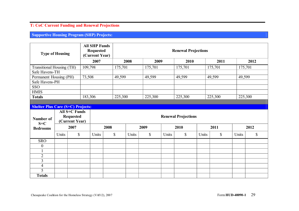## **T: CoC Current Funding and Renewal Projections**

**Supportive Housing Program (SHP) Projects:**

| <b>Type of Housing</b>                   |       |                                                            | <b>All SHP Funds</b><br><b>Requested</b><br>(Current Year) | <b>Renewal Projections</b> |                            |         |         |              |         |         |         |      |
|------------------------------------------|-------|------------------------------------------------------------|------------------------------------------------------------|----------------------------|----------------------------|---------|---------|--------------|---------|---------|---------|------|
|                                          |       |                                                            | 2007                                                       |                            | 2008                       |         | 2009    | 2010         |         | 2011    |         | 2012 |
| <b>Transitional Housing (TH)</b>         |       |                                                            | 109,798                                                    | 175,701                    |                            | 175,701 | 175,701 |              | 175,701 |         | 175,701 |      |
| Safe Havens-TH                           |       |                                                            |                                                            |                            |                            |         |         |              |         |         |         |      |
| Permanent Housing (PH)                   |       |                                                            | 73,508                                                     | 49,599                     |                            | 49,599  |         | 49,599       |         | 49,599  | 49,599  |      |
| Safe Havens-PH                           |       |                                                            |                                                            |                            |                            |         |         |              |         |         |         |      |
| <b>SSO</b>                               |       |                                                            |                                                            |                            |                            |         |         |              |         |         |         |      |
| <b>HMIS</b>                              |       |                                                            |                                                            |                            |                            |         |         |              |         |         |         |      |
| <b>Totals</b>                            |       |                                                            | 183,306                                                    | 225,300                    |                            | 225,300 |         | 225,300      |         | 225,300 | 225,300 |      |
| <b>Shelter Plus Care (S+C) Projects:</b> |       |                                                            |                                                            |                            |                            |         |         |              |         |         |         |      |
| Number of<br>$S+C$                       |       | <b>All S+C Funds</b><br><b>Requested</b><br>(Current Year) |                                                            |                            | <b>Renewal Projections</b> |         |         |              |         |         |         |      |
| <b>Bedrooms</b>                          |       | 2007                                                       |                                                            | 2008                       |                            | 2009    |         | 2010         |         | 2011    |         | 2012 |
|                                          | Units | $\mathbb{S}$                                               | Units                                                      | \$                         | Units                      | \$      | Units   | $\mathbb{S}$ | Units   | \$      | Units   | \$   |
| <b>SRO</b>                               |       |                                                            |                                                            |                            |                            |         |         |              |         |         |         |      |
| $\boldsymbol{0}$                         |       |                                                            |                                                            |                            |                            |         |         |              |         |         |         |      |
|                                          |       |                                                            |                                                            |                            |                            |         |         |              |         |         |         |      |
| $\overline{2}$                           |       |                                                            |                                                            |                            |                            |         |         |              |         |         |         |      |
| $\overline{3}$                           |       |                                                            |                                                            |                            |                            |         |         |              |         |         |         |      |
| $\overline{4}$                           |       |                                                            |                                                            |                            |                            |         |         |              |         |         |         |      |
| $\overline{5}$                           |       |                                                            |                                                            |                            |                            |         |         |              |         |         |         |      |
| <b>Totals</b>                            |       |                                                            |                                                            |                            |                            |         |         |              |         |         |         |      |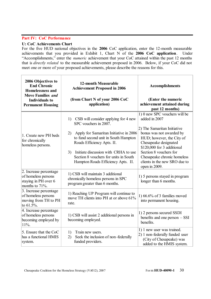#### **Part IV: CoC Performance**

#### **U: CoC Achievements Chart**

For the five HUD national objectives in the **2006** CoC application, enter the 12-month measurable achievements that you provided in Exhibit 1, Chart N of the **2006 CoC application**. Under "Accomplishments," enter the *numeric* achievement that your CoC attained within the past 12 months that is *directly related* to the measurable achievement proposed in 2006. Below, if your CoC did not meet one or more of your proposed achievements, please describe the reasons for this.

| 2006 Objectives to<br><b>End Chronic</b><br><b>Homelessness and</b><br><b>Move Families and</b><br><b>Individuals to</b><br><b>Permanent Housing</b> | <b>12-month Measurable</b><br><b>Achievement Proposed in 2006</b><br>(from Chart N of your 2006 CoC<br>application)                                                                                                                                                                                                    | <b>Accomplishments</b><br>(Enter the numeric<br>achievement attained during<br>past 12 months)                                                                                                                                                                                                           |
|------------------------------------------------------------------------------------------------------------------------------------------------------|------------------------------------------------------------------------------------------------------------------------------------------------------------------------------------------------------------------------------------------------------------------------------------------------------------------------|----------------------------------------------------------------------------------------------------------------------------------------------------------------------------------------------------------------------------------------------------------------------------------------------------------|
| 1. Create new PH beds<br>for chronically<br>homeless persons.                                                                                        | CSB will consider applying for 4 new<br>1)<br>SPC vouchers in 2007.<br>Apply for Samaritan Initiative in 2006<br>2)<br>to fund second unit in South Hampton<br>Roads Efficiency Apts. II.<br>Initiate discussion with CRHA to use<br>3)<br>Section 8 vouchers for units in South<br>Hampton Roads Efficiency Apts. II. | 1) 0 new SPC vouchers will be<br>added in 2007<br>2) The Samaritan Initiative<br>bonus was not awarded by<br>HUD; however, the City of<br>Chesapeake designated<br>\$120,000 for 3 additional<br>Section 8 vouchers for<br>Chesapeake chronic homeless<br>clients in the new SRO due to<br>open in 2009. |
| 2. Increase percentage<br>of homeless persons<br>staying in PH over 6<br>months to 71%.                                                              | 1) CSB will maintain 3 additional<br>chronically homeless persons in SPC<br>program greater than 6 months.                                                                                                                                                                                                             | 1) 5 persons stayed in program<br>longer than 6 months.                                                                                                                                                                                                                                                  |
| 3. Increase percentage<br>of homeless persons<br>moving from TH to PH<br>to 61.5%.                                                                   | 1) Reaching UP Program will continue to<br>move TH clients into PH at or above 61%<br>rate.                                                                                                                                                                                                                            | 1) $66.6\%$ of 3 families moved<br>into permanent housing.                                                                                                                                                                                                                                               |
| 4. Increase percentage<br>of homeless persons<br>becoming employed by<br>11%.                                                                        | 1) CSB will assist 2 additional persons in<br>becoming employed.                                                                                                                                                                                                                                                       | 1) 2 persons secured SSDI<br>benefits and one person $-$ SSI<br>benefits.                                                                                                                                                                                                                                |
| 5. Ensure that the CoC<br>has a functional HMIS<br>system.                                                                                           | 1)<br>Train new users.<br>Seek the inclusion of non-federally<br>2)<br>funded providers.                                                                                                                                                                                                                               | 1) 1 new user was trained.<br>2) 1 non-federally funded user<br>(City of Chesapeake) was<br>added to the HMIS system.                                                                                                                                                                                    |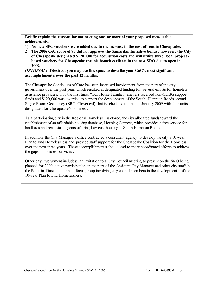**Briefly explain the reasons for not meeting one or more of your proposed measurable achievements.**

- **1) No new SPC vouchers were added due to the increase in the cost of rent in Chesapeake.**
- **2) The 2006 CoC score of 85 did not approve the Samaritan Initiative bonus ; however, the City of Chesapeake designated \$120 ,000 for acquisition costs and will utilize three, local project based vouchers for Chesapeake chronic homeless clients in the new SRO due to open in 2009.**

*OPTIONAL:* **If desired, you may use this space to describe your CoC's most significant accomplishment s over the past 12 months.**

The Chesapeake Continuum of Care has seen increased involvement from the part of the city government over the past year, which resulted in designated funding for several efforts for homeless assistance providers. For the first time, "Our House Families" shelters received non-CDBG support funds and \$120,000 was awarded to support the development of the South Hampton Roads second Single Room Occupancy (SRO-Cloverleaf) that is scheduled to open in January 2009 with four units designated for Chesapeake's homeless.

As a participating city in the Regional Homeless Taskforce, the city allocated funds toward the establishment of an affordable housing database, Housing Connect, which provides a free service for landlords and real estate agents offering low-cost housing in South Hampton Roads.

In addition, the City Manager's office contracted a consultant agency to develop the city's 10-year Plan to End Homelessness and provide staff support for the Chesapeake Coalition for the Homeless over the next three years. These accomplishment s should lead to more coordinated efforts to address the gaps in homeless services .

Other city involvement includes: an invitation to a City Council meeting to present on the SRO being planned for 2009, active participation on the part of the Assistant City Manager and other city staff in the Point-in-Time count, and a focus group involving city council members in the development of the 10-year Plan to End Homelessness.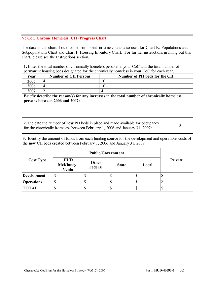#### **V: CoC Chronic Homeless (CH) Progress Chart**

The data in this chart should come from point-in-time counts also used for Chart K: Populations and Subpopulations Chart and Chart I: Housing Inventory Chart. For further instructions in filling out this chart, please see the Instructions section.

**1.** Enter the total number of chronically homeless persons in your CoC and the total number of permanent housing beds designated for the chronically homeless in your CoC for each year.

| <b>Year</b> | <b>Number of CH Persons</b> | Number of PH beds for the CH |
|-------------|-----------------------------|------------------------------|
| 2005        |                             | 10                           |
| 2006        |                             | 10                           |
| 2007        |                             |                              |

**Briefly describe the reason(s) for any increases in the total number of chronically homeless persons between 2006 and 2007:**

**2.** Indicate the number of **new** PH beds in place and made available for occupancy For the chronically homeless between February 1, 2006 and January 31, 2007:  $\qquad \qquad \begin{array}{c} 0 \\ 0 \end{array}$ 

**3.** Identify the amount of funds from each funding source for the development and operations costs of the **new** CH beds created between February 1, 2006 and January 31, 2007.

| <b>Cost Type</b>   |                                                |                  |              |       |                |
|--------------------|------------------------------------------------|------------------|--------------|-------|----------------|
|                    | <b>HUD</b><br><b>McKinney-</b><br><b>Vento</b> | Other<br>Federal | <b>State</b> | Local | <b>Private</b> |
| <b>Development</b> | Φ                                              |                  |              |       |                |
| <b>Operations</b>  | Φ                                              |                  | Φ            | ⊅     | ◡              |
| <b>TOTAL</b>       | Φ                                              |                  |              | ⊅     |                |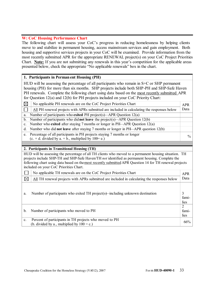#### **W: CoC Housing Performance Chart**

The following chart will assess your CoC's progress in reducing homelessness by helping clients move to and stabilize in permanent housing, access mainstream services and gain employment. Both housing and supportive services projects in your CoC will be examined. Provide information from the most recently submitted APR for the appropriate RENEWAL project(s) on your CoC Project Priorities Chart. **Note:** If you are not submitting any renewals in this year's competition for the applicable areas presented below, check the appropriate "No applicable renewals" box in the chart.

#### **1. Participants in Perman ent Housing (PH)**

HUD will be assessing the percentage of all participants who remain in S+C or SHP permanent housing (PH) for more than six months. SHP projects include both SHP-PH and SHP-Safe Haven PH renewals. Complete the following chart using data based on the most recently submitted APR for Question 12(a) and 12(b) for PH projects included on your CoC Priority Chart:

| $\boxtimes$                                                                                   | No applicable PH renewals are on the CoC Project Priorities Chart                                       | <b>APR</b> |  |  |  |  |
|-----------------------------------------------------------------------------------------------|---------------------------------------------------------------------------------------------------------|------------|--|--|--|--|
|                                                                                               | All PH renewal projects with APRs submitted are included in calculating the responses below             | Data       |  |  |  |  |
| a.                                                                                            | Number of participants who exited PH project(s)—APR Question $12(a)$                                    |            |  |  |  |  |
| $\mathbf{b}$ .                                                                                | Number of participants who did not leave the project(s)—APR Question 12(b)                              |            |  |  |  |  |
| Number who exited after staying 7 months or longer in PH-APR Question 12(a)<br>C <sub>1</sub> |                                                                                                         |            |  |  |  |  |
| d.                                                                                            | Number who did not leave after staying 7 months or longer in PH-APR question 12(b)                      |            |  |  |  |  |
| e.                                                                                            | Percentage of all participants in PH projects staying 7 months or longer                                | $\%$       |  |  |  |  |
|                                                                                               | $(c. + d. \text{ divided by a.} + b., \text{ multiplied by } 100 = e.)$                                 |            |  |  |  |  |
|                                                                                               |                                                                                                         |            |  |  |  |  |
|                                                                                               |                                                                                                         |            |  |  |  |  |
|                                                                                               | 2. Participants in Transitional Housing (TH)                                                            |            |  |  |  |  |
|                                                                                               | HUD will be assessing the percentage of all TH clients who moved to a permanent housing situation. TH   |            |  |  |  |  |
|                                                                                               | projects include SHP-TH and SHP-Safe Haven/TH not identified as permanent housing. Complete the         |            |  |  |  |  |
|                                                                                               | following chart using data based on the most recently submitted APR Question 14 for TH renewal projects |            |  |  |  |  |
|                                                                                               | included on your CoC Priorities Chart.                                                                  |            |  |  |  |  |
|                                                                                               | No applicable TH renewals are on the CoC Project Priorities Chart                                       | <b>APR</b> |  |  |  |  |
| $\boxtimes$                                                                                   | All TH renewal projects with APRs submitted are included in calculating the responses below             | Data       |  |  |  |  |

a. Number of participants who exited TH project(s)—including unknown destination  $\vert$  3 families 2

| Number of participants who moved to PH                    | fami- |
|-----------------------------------------------------------|-------|
|                                                           | lies  |
| c. Percent of participants in TH projects who moved to PH | 66%   |
| (b. divided by a., multiplied by $100 = c$ .)             |       |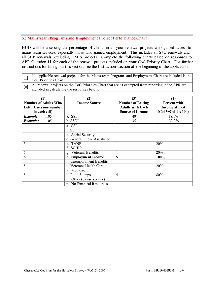#### **X: Mainstream Programs and Employment Project Performance Chart**

 $\boxtimes$ 

HUD will be assessing the percentage of clients in all your renewal projects who gained access to mainstream services, especially those who gained employment. This includes all S+C renewals and all SHP renewals, excluding HMIS projects. Complete the following charts based on responses to APR Question 11 for each of the renewal projects included on your CoC Priority Chart. For further instructions for filling out this section, see the Instructions section at the beginning of the application.

No applicable renewal projects for the Mainstream Programs and Employment Chart are included in the  $\Box$ CoC Priorities Chart.

All renewal projects on the CoC Priorities Chart that are not exempted from reporting in the APR are included in calculating the responses below.

| $\left(1\right)$<br><b>Number of Adults Who</b><br>Left (Use same number<br>in each cell) | (2)<br><b>Income Source</b>  | (3)<br><b>Number of Exiting</b><br><b>Adults with Each</b><br><b>Source of Income</b> | $\left( 4\right)$<br><b>Percent with</b><br><b>Income at Exit</b><br>$(Col 3 \div Col 1 \times 100)$ |
|-------------------------------------------------------------------------------------------|------------------------------|---------------------------------------------------------------------------------------|------------------------------------------------------------------------------------------------------|
| Example:<br>105                                                                           | a. SSI                       | 40                                                                                    | 38.1%                                                                                                |
| 105<br>Example:                                                                           | b. SSDI                      | 35                                                                                    | 33.3%                                                                                                |
|                                                                                           | a. SSI                       |                                                                                       |                                                                                                      |
|                                                                                           | b. SSDI                      |                                                                                       |                                                                                                      |
|                                                                                           | c. Social Security           |                                                                                       |                                                                                                      |
|                                                                                           | d. General Public Assistance |                                                                                       |                                                                                                      |
| 5                                                                                         | e. TANF                      |                                                                                       | 20%                                                                                                  |
|                                                                                           | f. SCHIP                     |                                                                                       |                                                                                                      |
| 5                                                                                         | g. Veterans Benefits         |                                                                                       | 20%                                                                                                  |
| 5                                                                                         | h. Employment Income         | 5                                                                                     | 100%                                                                                                 |
|                                                                                           | i. Unemployment Benefits     |                                                                                       |                                                                                                      |
| 5                                                                                         | j. Veterans Health Care      |                                                                                       | 20%                                                                                                  |
|                                                                                           | k. Medicaid                  |                                                                                       |                                                                                                      |
| 5                                                                                         | 1. Food Stamps               | $\overline{4}$                                                                        | 80%                                                                                                  |
|                                                                                           | m. Other (please specify)    |                                                                                       |                                                                                                      |
|                                                                                           | n. No Financial Resources    |                                                                                       |                                                                                                      |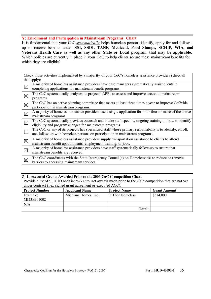#### **Y: Enrollment and Participation in Mainstream Programs Chart**

It is fundamental that your CoC *systematically* helps homeless persons identify, apply for and follow up to receive benefits under **SSI, SSDI, TANF, Medicaid, Food Stamps, SCHIP, WIA, and Veterans Health Care as well as any other State or Local program that may be applicable.**  Which policies are currently in place in your CoC to help clients secure these mainstream benefits for which they are eligible?

| Check those activities implemented by a majority of your CoC's homeless assistance providers (check all<br>that apply): |                                                                                                                                                                                           |  |  |  |
|-------------------------------------------------------------------------------------------------------------------------|-------------------------------------------------------------------------------------------------------------------------------------------------------------------------------------------|--|--|--|
| $\boxtimes$                                                                                                             | A majority of homeless assistance providers have case managers systematically assist clients in<br>completing applications for mainstream benefit programs.                               |  |  |  |
| $\boxtimes$                                                                                                             | The CoC systematically analyzes its projects' APRs to assess and improve access to mainstream<br>programs.                                                                                |  |  |  |
| $\boxtimes$                                                                                                             | The CoC has an active planning committee that meets at least three times a year to improve CoCwide<br>participation in mainstream programs.                                               |  |  |  |
| $\boxtimes$                                                                                                             | A majority of homeless assistance providers use a single application form for four or more of the above<br>mainstream programs.                                                           |  |  |  |
| $\boxtimes$                                                                                                             | The CoC systematically provides outreach and intake staff specific, ongoing training on how to identify<br>eligibility and program changes for mainstream programs.                       |  |  |  |
|                                                                                                                         | The CoC or any of its projects has specialized staff whose primary responsibility is to identify, enroll,<br>and follow-up with homeless persons on participation in mainstream programs. |  |  |  |
| $\boxtimes$                                                                                                             | A majority of homeless assistance providers supply transportation assistance to clients to attend<br>mainstream benefit appointments, employment training, or jobs.                       |  |  |  |
| $\boxtimes$                                                                                                             | A majority of homeless assistance providers have staff systematically follow-up to ensure that<br>mainstream benefits are received.                                                       |  |  |  |
| $\boxtimes$                                                                                                             | The CoC coordinates with the State Interagency Council(s) on Homelessness to reduce or remove<br>barriers to accessing mainstream services.                                               |  |  |  |

#### **Z: Unexecuted Grants Awarded Prior to the 2006 CoC C ompetition Chart**

| Provide a list of all HUD McKinney-Vento Act awards made prior to the 2005 competition that are not yet |                       |                     |                     |  |  |  |  |
|---------------------------------------------------------------------------------------------------------|-----------------------|---------------------|---------------------|--|--|--|--|
| under contract (i.e., signed grant agreement or executed ACC).                                          |                       |                     |                     |  |  |  |  |
| <b>Project Number</b>                                                                                   | <b>Applicant Name</b> | <b>Project Name</b> | <b>Grant Amount</b> |  |  |  |  |
| Example:<br>MI23B901002                                                                                 | Michiana Homes, Inc.  | TH for Homeless     | \$514,000           |  |  |  |  |
| N/A                                                                                                     |                       |                     |                     |  |  |  |  |
|                                                                                                         |                       | <b>Total:</b>       |                     |  |  |  |  |